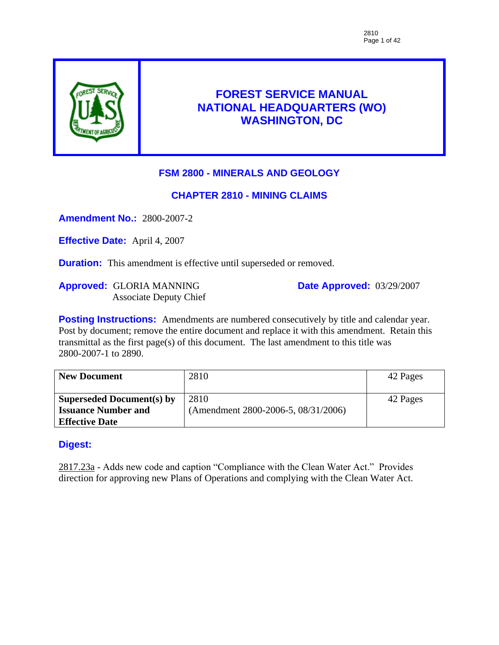

# **FOREST SERVICE MANUAL NATIONAL HEADQUARTERS (WO) WASHINGTON, DC**

# **FSM 2800 - MINERALS AND GEOLOGY**

### **CHAPTER 2810 - MINING CLAIMS**

**Amendment No.:** 2800-2007-2

**Effective Date:** April 4, 2007

**Duration:** This amendment is effective until superseded or removed.

**Approved:** GLORIA MANNING Associate Deputy Chief **Date Approved:** 03/29/2007

**Posting Instructions:** Amendments are numbered consecutively by title and calendar year. Post by document; remove the entire document and replace it with this amendment. Retain this transmittal as the first page(s) of this document. The last amendment to this title was 2800-2007-1 to 2890.

| <b>New Document</b>              | 2810                                | 42 Pages |
|----------------------------------|-------------------------------------|----------|
|                                  |                                     |          |
| <b>Superseded Document(s) by</b> | 2810                                | 42 Pages |
| <b>Issuance Number and</b>       | (Amendment 2800-2006-5, 08/31/2006) |          |
| <b>Effective Date</b>            |                                     |          |

### **Digest:**

2817.23a - Adds new code and caption "Compliance with the Clean Water Act." Provides direction for approving new Plans of Operations and complying with the Clean Water Act.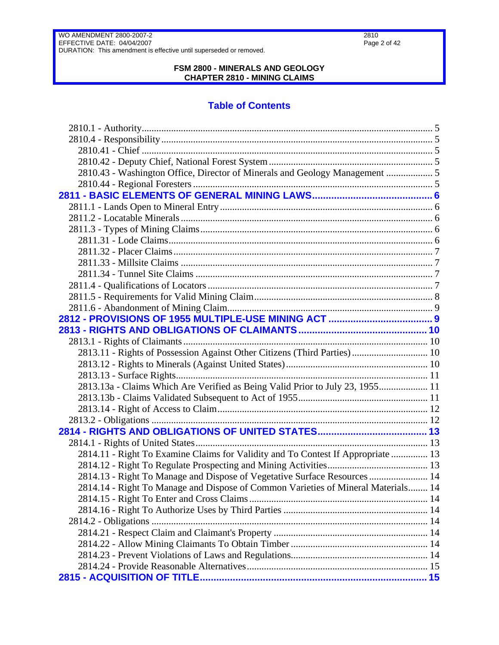2810 Page 2 of 42

WO AMENDMENT 2800-2007-2 EFFECTIVE DATE: 04/04/2007 DURATION: This amendment is effective until superseded or removed.

### **FSM 2800 - MINERALS AND GEOLOGY CHAPTER 2810 - MINING CLAIMS**

# **Table of Contents**

| 2810.43 - Washington Office, Director of Minerals and Geology Management  5       |  |
|-----------------------------------------------------------------------------------|--|
|                                                                                   |  |
|                                                                                   |  |
|                                                                                   |  |
|                                                                                   |  |
|                                                                                   |  |
|                                                                                   |  |
|                                                                                   |  |
|                                                                                   |  |
|                                                                                   |  |
|                                                                                   |  |
|                                                                                   |  |
|                                                                                   |  |
|                                                                                   |  |
|                                                                                   |  |
|                                                                                   |  |
| 2813.11 - Rights of Possession Against Other Citizens (Third Parties) 10          |  |
|                                                                                   |  |
|                                                                                   |  |
| 2813.13a - Claims Which Are Verified as Being Valid Prior to July 23, 1955 11     |  |
|                                                                                   |  |
|                                                                                   |  |
|                                                                                   |  |
|                                                                                   |  |
|                                                                                   |  |
| 2814.11 - Right To Examine Claims for Validity and To Contest If Appropriate  13  |  |
|                                                                                   |  |
| 2814.13 - Right To Manage and Dispose of Vegetative Surface Resources  14         |  |
| 2814.14 - Right To Manage and Dispose of Common Varieties of Mineral Materials 14 |  |
|                                                                                   |  |
|                                                                                   |  |
|                                                                                   |  |
|                                                                                   |  |
|                                                                                   |  |
|                                                                                   |  |
|                                                                                   |  |
|                                                                                   |  |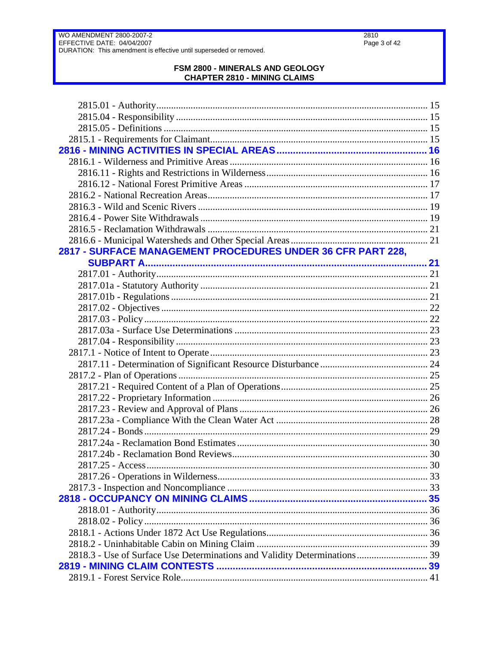$2810$ Page 3 of 42

# FSM 2800 - MINERALS AND GEOLOGY<br>CHAPTER 2810 - MINING CLAIMS

| 2817 - SURFACE MANAGEMENT PROCEDURES UNDER 36 CFR PART 228,                |  |
|----------------------------------------------------------------------------|--|
|                                                                            |  |
|                                                                            |  |
|                                                                            |  |
|                                                                            |  |
|                                                                            |  |
|                                                                            |  |
|                                                                            |  |
|                                                                            |  |
|                                                                            |  |
|                                                                            |  |
|                                                                            |  |
|                                                                            |  |
|                                                                            |  |
|                                                                            |  |
|                                                                            |  |
|                                                                            |  |
|                                                                            |  |
|                                                                            |  |
|                                                                            |  |
|                                                                            |  |
|                                                                            |  |
|                                                                            |  |
|                                                                            |  |
|                                                                            |  |
|                                                                            |  |
|                                                                            |  |
| 2818.3 - Use of Surface Use Determinations and Validity Determinations  39 |  |
|                                                                            |  |
|                                                                            |  |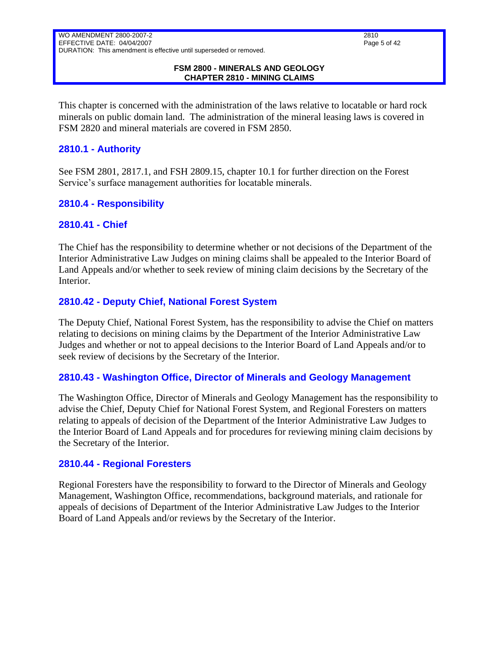#### **FSM 2800 - MINERALS AND GEOLOGY CHAPTER 2810 - MINING CLAIMS**

This chapter is concerned with the administration of the laws relative to locatable or hard rock minerals on public domain land. The administration of the mineral leasing laws is covered in FSM 2820 and mineral materials are covered in FSM 2850.

### <span id="page-4-0"></span>**2810.1 - Authority**

See FSM 2801, 2817.1, and FSH 2809.15, chapter 10.1 for further direction on the Forest Service's surface management authorities for locatable minerals.

### <span id="page-4-1"></span>**2810.4 - Responsibility**

### <span id="page-4-2"></span>**2810.41 - Chief**

The Chief has the responsibility to determine whether or not decisions of the Department of the Interior Administrative Law Judges on mining claims shall be appealed to the Interior Board of Land Appeals and/or whether to seek review of mining claim decisions by the Secretary of the Interior.

### <span id="page-4-3"></span>**2810.42 - Deputy Chief, National Forest System**

The Deputy Chief, National Forest System, has the responsibility to advise the Chief on matters relating to decisions on mining claims by the Department of the Interior Administrative Law Judges and whether or not to appeal decisions to the Interior Board of Land Appeals and/or to seek review of decisions by the Secretary of the Interior.

### <span id="page-4-4"></span>**2810.43 - Washington Office, Director of Minerals and Geology Management**

The Washington Office, Director of Minerals and Geology Management has the responsibility to advise the Chief, Deputy Chief for National Forest System, and Regional Foresters on matters relating to appeals of decision of the Department of the Interior Administrative Law Judges to the Interior Board of Land Appeals and for procedures for reviewing mining claim decisions by the Secretary of the Interior.

### <span id="page-4-5"></span>**2810.44 - Regional Foresters**

Regional Foresters have the responsibility to forward to the Director of Minerals and Geology Management, Washington Office, recommendations, background materials, and rationale for appeals of decisions of Department of the Interior Administrative Law Judges to the Interior Board of Land Appeals and/or reviews by the Secretary of the Interior.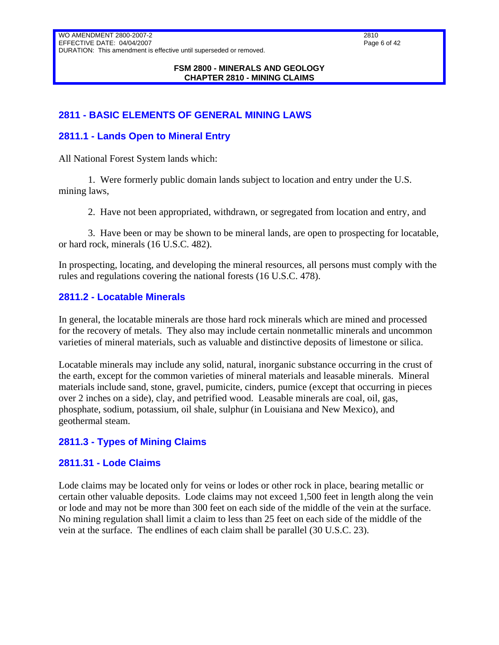#### **FSM 2800 - MINERALS AND GEOLOGY CHAPTER 2810 - MINING CLAIMS**

### <span id="page-5-0"></span>**2811 - BASIC ELEMENTS OF GENERAL MINING LAWS**

### <span id="page-5-1"></span>**2811.1 - Lands Open to Mineral Entry**

All National Forest System lands which:

1. Were formerly public domain lands subject to location and entry under the U.S. mining laws,

2. Have not been appropriated, withdrawn, or segregated from location and entry, and

3. Have been or may be shown to be mineral lands, are open to prospecting for locatable, or hard rock, minerals (16 U.S.C. 482).

In prospecting, locating, and developing the mineral resources, all persons must comply with the rules and regulations covering the national forests (16 U.S.C. 478).

### <span id="page-5-2"></span>**2811.2 - Locatable Minerals**

In general, the locatable minerals are those hard rock minerals which are mined and processed for the recovery of metals. They also may include certain nonmetallic minerals and uncommon varieties of mineral materials, such as valuable and distinctive deposits of limestone or silica.

Locatable minerals may include any solid, natural, inorganic substance occurring in the crust of the earth, except for the common varieties of mineral materials and leasable minerals. Mineral materials include sand, stone, gravel, pumicite, cinders, pumice (except that occurring in pieces over 2 inches on a side), clay, and petrified wood. Leasable minerals are coal, oil, gas, phosphate, sodium, potassium, oil shale, sulphur (in Louisiana and New Mexico), and geothermal steam.

### <span id="page-5-3"></span>**2811.3 - Types of Mining Claims**

### <span id="page-5-4"></span>**2811.31 - Lode Claims**

Lode claims may be located only for veins or lodes or other rock in place, bearing metallic or certain other valuable deposits. Lode claims may not exceed 1,500 feet in length along the vein or lode and may not be more than 300 feet on each side of the middle of the vein at the surface. No mining regulation shall limit a claim to less than 25 feet on each side of the middle of the vein at the surface. The endlines of each claim shall be parallel (30 U.S.C. 23).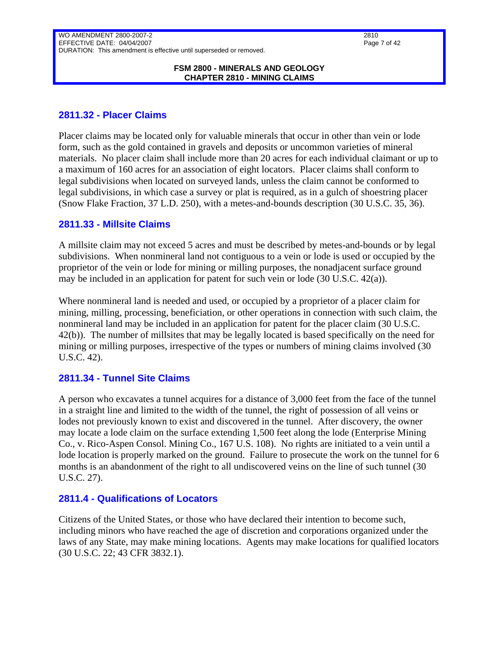#### **FSM 2800 - MINERALS AND GEOLOGY CHAPTER 2810 - MINING CLAIMS**

### <span id="page-6-0"></span>**2811.32 - Placer Claims**

Placer claims may be located only for valuable minerals that occur in other than vein or lode form, such as the gold contained in gravels and deposits or uncommon varieties of mineral materials. No placer claim shall include more than 20 acres for each individual claimant or up to a maximum of 160 acres for an association of eight locators. Placer claims shall conform to legal subdivisions when located on surveyed lands, unless the claim cannot be conformed to legal subdivisions, in which case a survey or plat is required, as in a gulch of shoestring placer (Snow Flake Fraction, 37 L.D. 250), with a metes-and-bounds description (30 U.S.C. 35, 36).

### <span id="page-6-1"></span>**2811.33 - Millsite Claims**

A millsite claim may not exceed 5 acres and must be described by metes-and-bounds or by legal subdivisions. When nonmineral land not contiguous to a vein or lode is used or occupied by the proprietor of the vein or lode for mining or milling purposes, the nonadjacent surface ground may be included in an application for patent for such vein or lode (30 U.S.C. 42(a)).

Where nonmineral land is needed and used, or occupied by a proprietor of a placer claim for mining, milling, processing, beneficiation, or other operations in connection with such claim, the nonmineral land may be included in an application for patent for the placer claim (30 U.S.C. 42(b)). The number of millsites that may be legally located is based specifically on the need for mining or milling purposes, irrespective of the types or numbers of mining claims involved (30 U.S.C. 42).

### <span id="page-6-2"></span>**2811.34 - Tunnel Site Claims**

A person who excavates a tunnel acquires for a distance of 3,000 feet from the face of the tunnel in a straight line and limited to the width of the tunnel, the right of possession of all veins or lodes not previously known to exist and discovered in the tunnel. After discovery, the owner may locate a lode claim on the surface extending 1,500 feet along the lode (Enterprise Mining Co., v. Rico-Aspen Consol. Mining Co., 167 U.S. 108). No rights are initiated to a vein until a lode location is properly marked on the ground. Failure to prosecute the work on the tunnel for 6 months is an abandonment of the right to all undiscovered veins on the line of such tunnel (30 U.S.C. 27).

### <span id="page-6-3"></span>**2811.4 - Qualifications of Locators**

Citizens of the United States, or those who have declared their intention to become such, including minors who have reached the age of discretion and corporations organized under the laws of any State, may make mining locations. Agents may make locations for qualified locators (30 U.S.C. 22; 43 CFR 3832.1).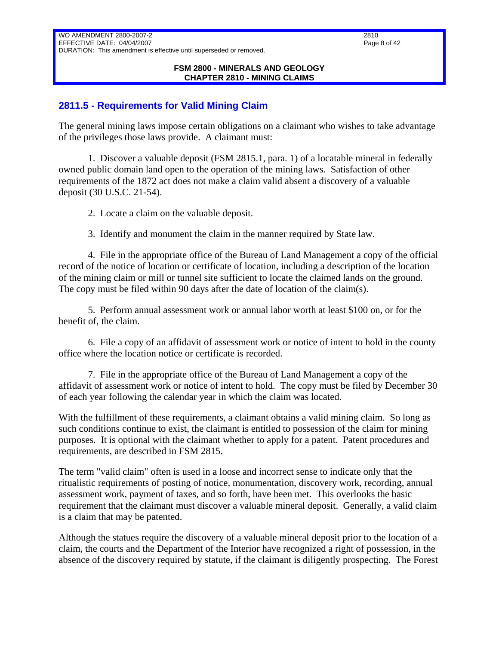#### **FSM 2800 - MINERALS AND GEOLOGY CHAPTER 2810 - MINING CLAIMS**

### <span id="page-7-0"></span>**2811.5 - Requirements for Valid Mining Claim**

The general mining laws impose certain obligations on a claimant who wishes to take advantage of the privileges those laws provide. A claimant must:

1. Discover a valuable deposit (FSM 2815.1, para. 1) of a locatable mineral in federally owned public domain land open to the operation of the mining laws. Satisfaction of other requirements of the 1872 act does not make a claim valid absent a discovery of a valuable deposit (30 U.S.C. 21-54).

2. Locate a claim on the valuable deposit.

3. Identify and monument the claim in the manner required by State law.

4. File in the appropriate office of the Bureau of Land Management a copy of the official record of the notice of location or certificate of location, including a description of the location of the mining claim or mill or tunnel site sufficient to locate the claimed lands on the ground. The copy must be filed within 90 days after the date of location of the claim(s).

5. Perform annual assessment work or annual labor worth at least \$100 on, or for the benefit of, the claim.

6. File a copy of an affidavit of assessment work or notice of intent to hold in the county office where the location notice or certificate is recorded.

7. File in the appropriate office of the Bureau of Land Management a copy of the affidavit of assessment work or notice of intent to hold. The copy must be filed by December 30 of each year following the calendar year in which the claim was located.

With the fulfillment of these requirements, a claimant obtains a valid mining claim. So long as such conditions continue to exist, the claimant is entitled to possession of the claim for mining purposes. It is optional with the claimant whether to apply for a patent. Patent procedures and requirements, are described in FSM 2815.

The term "valid claim" often is used in a loose and incorrect sense to indicate only that the ritualistic requirements of posting of notice, monumentation, discovery work, recording, annual assessment work, payment of taxes, and so forth, have been met. This overlooks the basic requirement that the claimant must discover a valuable mineral deposit. Generally, a valid claim is a claim that may be patented.

Although the statues require the discovery of a valuable mineral deposit prior to the location of a claim, the courts and the Department of the Interior have recognized a right of possession, in the absence of the discovery required by statute, if the claimant is diligently prospecting. The Forest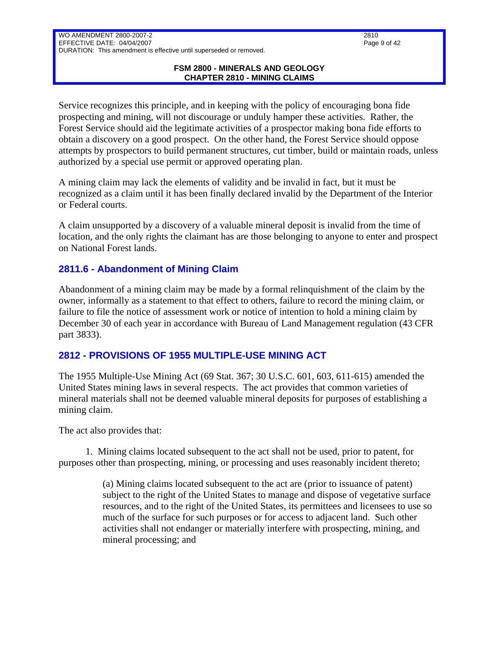#### **FSM 2800 - MINERALS AND GEOLOGY CHAPTER 2810 - MINING CLAIMS**

Service recognizes this principle, and in keeping with the policy of encouraging bona fide prospecting and mining, will not discourage or unduly hamper these activities. Rather, the Forest Service should aid the legitimate activities of a prospector making bona fide efforts to obtain a discovery on a good prospect. On the other hand, the Forest Service should oppose attempts by prospectors to build permanent structures, cut timber, build or maintain roads, unless authorized by a special use permit or approved operating plan.

A mining claim may lack the elements of validity and be invalid in fact, but it must be recognized as a claim until it has been finally declared invalid by the Department of the Interior or Federal courts.

A claim unsupported by a discovery of a valuable mineral deposit is invalid from the time of location, and the only rights the claimant has are those belonging to anyone to enter and prospect on National Forest lands.

### <span id="page-8-0"></span>**2811.6 - Abandonment of Mining Claim**

Abandonment of a mining claim may be made by a formal relinquishment of the claim by the owner, informally as a statement to that effect to others, failure to record the mining claim, or failure to file the notice of assessment work or notice of intention to hold a mining claim by December 30 of each year in accordance with Bureau of Land Management regulation (43 CFR part 3833).

### <span id="page-8-1"></span>**2812 - PROVISIONS OF 1955 MULTIPLE-USE MINING ACT**

The 1955 Multiple-Use Mining Act (69 Stat. 367; 30 U.S.C. 601, 603, 611-615) amended the United States mining laws in several respects. The act provides that common varieties of mineral materials shall not be deemed valuable mineral deposits for purposes of establishing a mining claim.

The act also provides that:

 1. Mining claims located subsequent to the act shall not be used, prior to patent, for purposes other than prospecting, mining, or processing and uses reasonably incident thereto;

> (a) Mining claims located subsequent to the act are (prior to issuance of patent) subject to the right of the United States to manage and dispose of vegetative surface resources, and to the right of the United States, its permittees and licensees to use so much of the surface for such purposes or for access to adjacent land. Such other activities shall not endanger or materially interfere with prospecting, mining, and mineral processing; and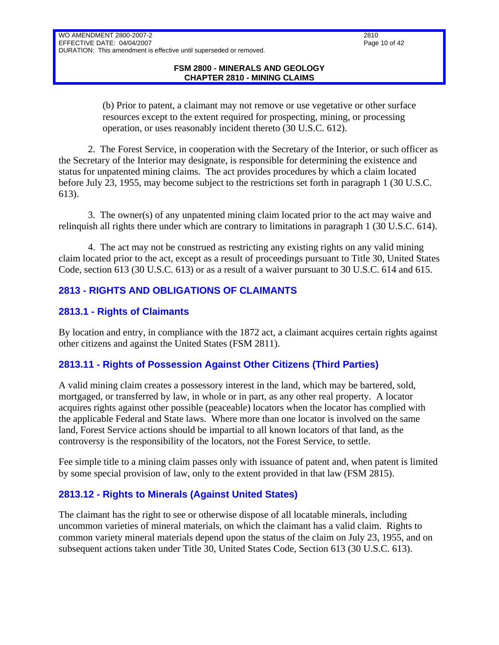(b) Prior to patent, a claimant may not remove or use vegetative or other surface resources except to the extent required for prospecting, mining, or processing operation, or uses reasonably incident thereto (30 U.S.C. 612).

2. The Forest Service, in cooperation with the Secretary of the Interior, or such officer as the Secretary of the Interior may designate, is responsible for determining the existence and status for unpatented mining claims. The act provides procedures by which a claim located before July 23, 1955, may become subject to the restrictions set forth in paragraph 1 (30 U.S.C. 613).

3. The owner(s) of any unpatented mining claim located prior to the act may waive and relinquish all rights there under which are contrary to limitations in paragraph 1 (30 U.S.C. 614).

4. The act may not be construed as restricting any existing rights on any valid mining claim located prior to the act, except as a result of proceedings pursuant to Title 30, United States Code, section 613 (30 U.S.C. 613) or as a result of a waiver pursuant to 30 U.S.C. 614 and 615.

# <span id="page-9-0"></span>**2813 - RIGHTS AND OBLIGATIONS OF CLAIMANTS**

### <span id="page-9-1"></span>**2813.1 - Rights of Claimants**

WO AMENDMENT 2800-2007-2 EFFECTIVE DATE: 04/04/2007

By location and entry, in compliance with the 1872 act, a claimant acquires certain rights against other citizens and against the United States (FSM 2811).

# <span id="page-9-2"></span>**2813.11 - Rights of Possession Against Other Citizens (Third Parties)**

A valid mining claim creates a possessory interest in the land, which may be bartered, sold, mortgaged, or transferred by law, in whole or in part, as any other real property. A locator acquires rights against other possible (peaceable) locators when the locator has complied with the applicable Federal and State laws. Where more than one locator is involved on the same land, Forest Service actions should be impartial to all known locators of that land, as the controversy is the responsibility of the locators, not the Forest Service, to settle.

Fee simple title to a mining claim passes only with issuance of patent and, when patent is limited by some special provision of law, only to the extent provided in that law (FSM 2815).

# <span id="page-9-3"></span>**2813.12 - Rights to Minerals (Against United States)**

The claimant has the right to see or otherwise dispose of all locatable minerals, including uncommon varieties of mineral materials, on which the claimant has a valid claim. Rights to common variety mineral materials depend upon the status of the claim on July 23, 1955, and on subsequent actions taken under Title 30, United States Code, Section 613 (30 U.S.C. 613).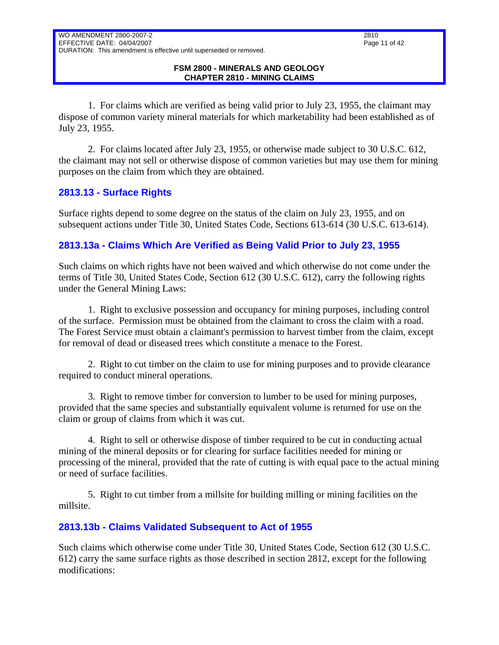# EFFECTIVE DATE: 04/04/2007 DURATION: This amendment is effective until superseded or removed.

#### **FSM 2800 - MINERALS AND GEOLOGY CHAPTER 2810 - MINING CLAIMS**

1. For claims which are verified as being valid prior to July 23, 1955, the claimant may dispose of common variety mineral materials for which marketability had been established as of July 23, 1955.

2. For claims located after July 23, 1955, or otherwise made subject to 30 U.S.C. 612, the claimant may not sell or otherwise dispose of common varieties but may use them for mining purposes on the claim from which they are obtained.

### <span id="page-10-0"></span>**2813.13 - Surface Rights**

WO AMENDMENT 2800-2007-2

Surface rights depend to some degree on the status of the claim on July 23, 1955, and on subsequent actions under Title 30, United States Code, Sections 613-614 (30 U.S.C. 613-614).

# <span id="page-10-1"></span>**2813.13a - Claims Which Are Verified as Being Valid Prior to July 23, 1955**

Such claims on which rights have not been waived and which otherwise do not come under the terms of Title 30, United States Code, Section 612 (30 U.S.C. 612), carry the following rights under the General Mining Laws:

1. Right to exclusive possession and occupancy for mining purposes, including control of the surface. Permission must be obtained from the claimant to cross the claim with a road. The Forest Service must obtain a claimant's permission to harvest timber from the claim, except for removal of dead or diseased trees which constitute a menace to the Forest.

2. Right to cut timber on the claim to use for mining purposes and to provide clearance required to conduct mineral operations.

3. Right to remove timber for conversion to lumber to be used for mining purposes, provided that the same species and substantially equivalent volume is returned for use on the claim or group of claims from which it was cut.

4. Right to sell or otherwise dispose of timber required to be cut in conducting actual mining of the mineral deposits or for clearing for surface facilities needed for mining or processing of the mineral, provided that the rate of cutting is with equal pace to the actual mining or need of surface facilities.

5. Right to cut timber from a millsite for building milling or mining facilities on the millsite.

# <span id="page-10-2"></span>**2813.13b - Claims Validated Subsequent to Act of 1955**

Such claims which otherwise come under Title 30, United States Code, Section 612 (30 U.S.C. 612) carry the same surface rights as those described in section 2812, except for the following modifications: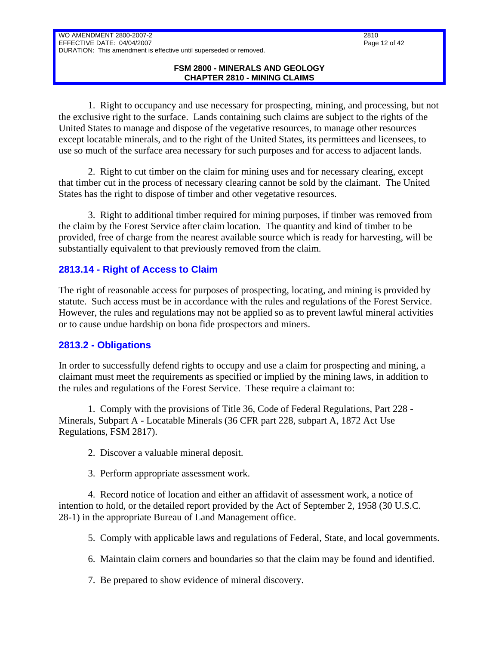1. Right to occupancy and use necessary for prospecting, mining, and processing, but not the exclusive right to the surface. Lands containing such claims are subject to the rights of the United States to manage and dispose of the vegetative resources, to manage other resources except locatable minerals, and to the right of the United States, its permittees and licensees, to use so much of the surface area necessary for such purposes and for access to adjacent lands.

2. Right to cut timber on the claim for mining uses and for necessary clearing, except that timber cut in the process of necessary clearing cannot be sold by the claimant. The United States has the right to dispose of timber and other vegetative resources.

3. Right to additional timber required for mining purposes, if timber was removed from the claim by the Forest Service after claim location. The quantity and kind of timber to be provided, free of charge from the nearest available source which is ready for harvesting, will be substantially equivalent to that previously removed from the claim.

### <span id="page-11-0"></span>**2813.14 - Right of Access to Claim**

The right of reasonable access for purposes of prospecting, locating, and mining is provided by statute. Such access must be in accordance with the rules and regulations of the Forest Service. However, the rules and regulations may not be applied so as to prevent lawful mineral activities or to cause undue hardship on bona fide prospectors and miners.

### <span id="page-11-1"></span>**2813.2 - Obligations**

In order to successfully defend rights to occupy and use a claim for prospecting and mining, a claimant must meet the requirements as specified or implied by the mining laws, in addition to the rules and regulations of the Forest Service. These require a claimant to:

1. Comply with the provisions of Title 36, Code of Federal Regulations, Part 228 - Minerals, Subpart A - Locatable Minerals (36 CFR part 228, subpart A, 1872 Act Use Regulations, FSM 2817).

- 2. Discover a valuable mineral deposit.
- 3. Perform appropriate assessment work.

4. Record notice of location and either an affidavit of assessment work, a notice of intention to hold, or the detailed report provided by the Act of September 2, 1958 (30 U.S.C. 28-1) in the appropriate Bureau of Land Management office.

5. Comply with applicable laws and regulations of Federal, State, and local governments.

6. Maintain claim corners and boundaries so that the claim may be found and identified.

7. Be prepared to show evidence of mineral discovery.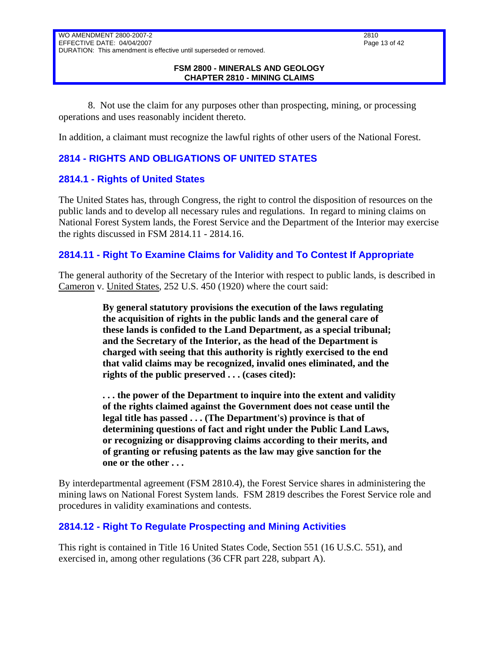### EFFECTIVE DATE: 04/04/2007 DURATION: This amendment is effective until superseded or removed.

#### **FSM 2800 - MINERALS AND GEOLOGY CHAPTER 2810 - MINING CLAIMS**

8. Not use the claim for any purposes other than prospecting, mining, or processing operations and uses reasonably incident thereto.

In addition, a claimant must recognize the lawful rights of other users of the National Forest.

# <span id="page-12-0"></span>**2814 - RIGHTS AND OBLIGATIONS OF UNITED STATES**

### <span id="page-12-1"></span>**2814.1 - Rights of United States**

WO AMENDMENT 2800-2007-2

The United States has, through Congress, the right to control the disposition of resources on the public lands and to develop all necessary rules and regulations. In regard to mining claims on National Forest System lands, the Forest Service and the Department of the Interior may exercise the rights discussed in FSM 2814.11 - 2814.16.

### <span id="page-12-2"></span>**2814.11 - Right To Examine Claims for Validity and To Contest If Appropriate**

The general authority of the Secretary of the Interior with respect to public lands, is described in Cameron v. United States, 252 U.S. 450 (1920) where the court said:

> **By general statutory provisions the execution of the laws regulating the acquisition of rights in the public lands and the general care of these lands is confided to the Land Department, as a special tribunal; and the Secretary of the Interior, as the head of the Department is charged with seeing that this authority is rightly exercised to the end that valid claims may be recognized, invalid ones eliminated, and the rights of the public preserved . . . (cases cited):**

**. . . the power of the Department to inquire into the extent and validity of the rights claimed against the Government does not cease until the legal title has passed . . . (The Department's) province is that of determining questions of fact and right under the Public Land Laws, or recognizing or disapproving claims according to their merits, and of granting or refusing patents as the law may give sanction for the one or the other . . .**

By interdepartmental agreement (FSM 2810.4), the Forest Service shares in administering the mining laws on National Forest System lands. FSM 2819 describes the Forest Service role and procedures in validity examinations and contests.

# <span id="page-12-3"></span>**2814.12 - Right To Regulate Prospecting and Mining Activities**

This right is contained in Title 16 United States Code, Section 551 (16 U.S.C. 551), and exercised in, among other regulations (36 CFR part 228, subpart A).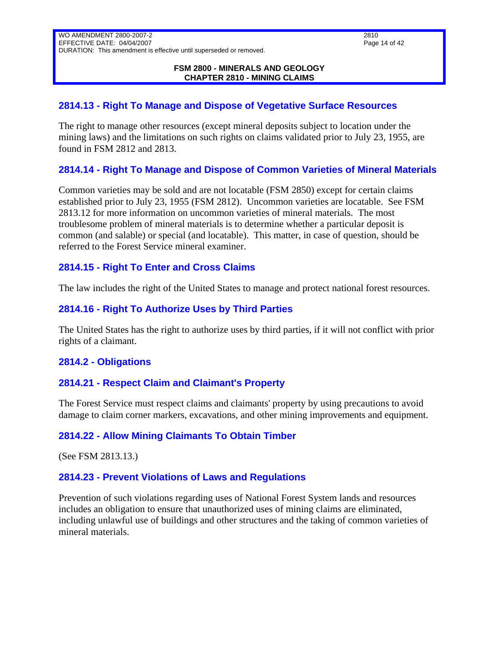#### **FSM 2800 - MINERALS AND GEOLOGY CHAPTER 2810 - MINING CLAIMS**

### <span id="page-13-0"></span>**2814.13 - Right To Manage and Dispose of Vegetative Surface Resources**

The right to manage other resources (except mineral deposits subject to location under the mining laws) and the limitations on such rights on claims validated prior to July 23, 1955, are found in FSM 2812 and 2813.

### <span id="page-13-1"></span>**2814.14 - Right To Manage and Dispose of Common Varieties of Mineral Materials**

Common varieties may be sold and are not locatable (FSM 2850) except for certain claims established prior to July 23, 1955 (FSM 2812). Uncommon varieties are locatable. See FSM 2813.12 for more information on uncommon varieties of mineral materials. The most troublesome problem of mineral materials is to determine whether a particular deposit is common (and salable) or special (and locatable). This matter, in case of question, should be referred to the Forest Service mineral examiner.

### <span id="page-13-2"></span>**2814.15 - Right To Enter and Cross Claims**

The law includes the right of the United States to manage and protect national forest resources.

### <span id="page-13-3"></span>**2814.16 - Right To Authorize Uses by Third Parties**

The United States has the right to authorize uses by third parties, if it will not conflict with prior rights of a claimant.

### <span id="page-13-4"></span>**2814.2 - Obligations**

### <span id="page-13-5"></span>**2814.21 - Respect Claim and Claimant's Property**

The Forest Service must respect claims and claimants' property by using precautions to avoid damage to claim corner markers, excavations, and other mining improvements and equipment.

### <span id="page-13-6"></span>**2814.22 - Allow Mining Claimants To Obtain Timber**

(See FSM 2813.13.)

### <span id="page-13-7"></span>**2814.23 - Prevent Violations of Laws and Regulations**

Prevention of such violations regarding uses of National Forest System lands and resources includes an obligation to ensure that unauthorized uses of mining claims are eliminated, including unlawful use of buildings and other structures and the taking of common varieties of mineral materials.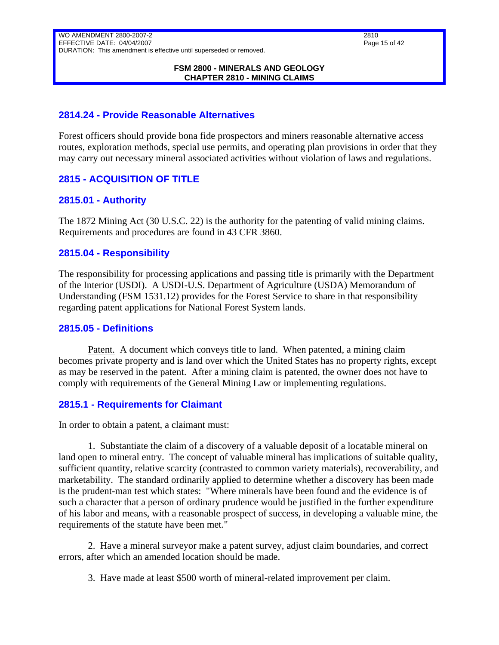#### **FSM 2800 - MINERALS AND GEOLOGY CHAPTER 2810 - MINING CLAIMS**

### <span id="page-14-0"></span>**2814.24 - Provide Reasonable Alternatives**

Forest officers should provide bona fide prospectors and miners reasonable alternative access routes, exploration methods, special use permits, and operating plan provisions in order that they may carry out necessary mineral associated activities without violation of laws and regulations.

### <span id="page-14-1"></span>**2815 - ACQUISITION OF TITLE**

### <span id="page-14-2"></span>**2815.01 - Authority**

The 1872 Mining Act (30 U.S.C. 22) is the authority for the patenting of valid mining claims. Requirements and procedures are found in 43 CFR 3860.

### <span id="page-14-3"></span>**2815.04 - Responsibility**

The responsibility for processing applications and passing title is primarily with the Department of the Interior (USDI). A USDI-U.S. Department of Agriculture (USDA) Memorandum of Understanding (FSM 1531.12) provides for the Forest Service to share in that responsibility regarding patent applications for National Forest System lands.

### <span id="page-14-4"></span>**2815.05 - Definitions**

Patent. A document which conveys title to land. When patented, a mining claim becomes private property and is land over which the United States has no property rights, except as may be reserved in the patent. After a mining claim is patented, the owner does not have to comply with requirements of the General Mining Law or implementing regulations.

### <span id="page-14-5"></span>**2815.1 - Requirements for Claimant**

In order to obtain a patent, a claimant must:

1. Substantiate the claim of a discovery of a valuable deposit of a locatable mineral on land open to mineral entry. The concept of valuable mineral has implications of suitable quality, sufficient quantity, relative scarcity (contrasted to common variety materials), recoverability, and marketability. The standard ordinarily applied to determine whether a discovery has been made is the prudent-man test which states: "Where minerals have been found and the evidence is of such a character that a person of ordinary prudence would be justified in the further expenditure of his labor and means, with a reasonable prospect of success, in developing a valuable mine, the requirements of the statute have been met."

2. Have a mineral surveyor make a patent survey, adjust claim boundaries, and correct errors, after which an amended location should be made.

3. Have made at least \$500 worth of mineral-related improvement per claim.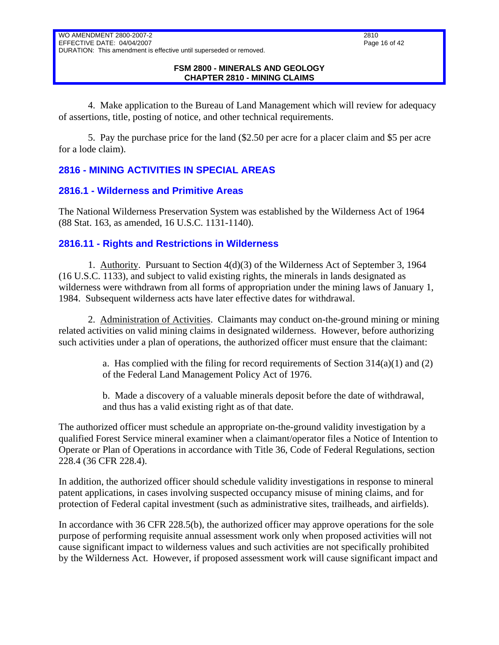4. Make application to the Bureau of Land Management which will review for adequacy of assertions, title, posting of notice, and other technical requirements.

5. Pay the purchase price for the land (\$2.50 per acre for a placer claim and \$5 per acre for a lode claim).

# <span id="page-15-0"></span>**2816 - MINING ACTIVITIES IN SPECIAL AREAS**

### <span id="page-15-1"></span>**2816.1 - Wilderness and Primitive Areas**

The National Wilderness Preservation System was established by the Wilderness Act of 1964 (88 Stat. 163, as amended, 16 U.S.C. 1131-1140).

### <span id="page-15-2"></span>**2816.11 - Rights and Restrictions in Wilderness**

1. Authority. Pursuant to Section 4(d)(3) of the Wilderness Act of September 3, 1964 (16 U.S.C. 1133), and subject to valid existing rights, the minerals in lands designated as wilderness were withdrawn from all forms of appropriation under the mining laws of January 1, 1984. Subsequent wilderness acts have later effective dates for withdrawal.

2. Administration of Activities. Claimants may conduct on-the-ground mining or mining related activities on valid mining claims in designated wilderness. However, before authorizing such activities under a plan of operations, the authorized officer must ensure that the claimant:

> a. Has complied with the filing for record requirements of Section  $314(a)(1)$  and (2) of the Federal Land Management Policy Act of 1976.

b. Made a discovery of a valuable minerals deposit before the date of withdrawal, and thus has a valid existing right as of that date.

The authorized officer must schedule an appropriate on-the-ground validity investigation by a qualified Forest Service mineral examiner when a claimant/operator files a Notice of Intention to Operate or Plan of Operations in accordance with Title 36, Code of Federal Regulations, section 228.4 (36 CFR 228.4).

In addition, the authorized officer should schedule validity investigations in response to mineral patent applications, in cases involving suspected occupancy misuse of mining claims, and for protection of Federal capital investment (such as administrative sites, trailheads, and airfields).

In accordance with 36 CFR 228.5(b), the authorized officer may approve operations for the sole purpose of performing requisite annual assessment work only when proposed activities will not cause significant impact to wilderness values and such activities are not specifically prohibited by the Wilderness Act. However, if proposed assessment work will cause significant impact and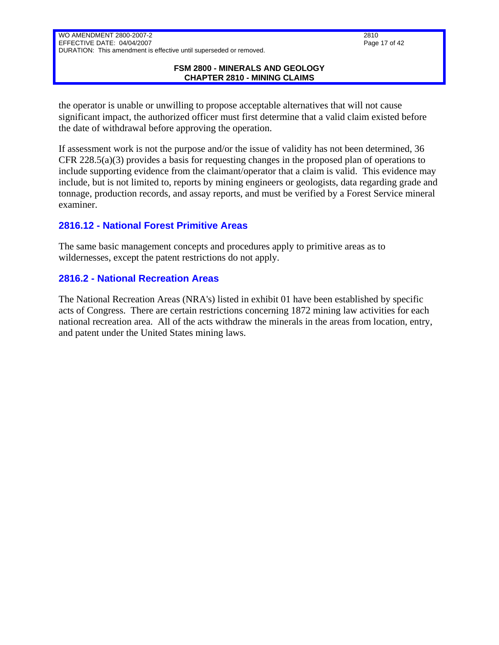#### **FSM 2800 - MINERALS AND GEOLOGY CHAPTER 2810 - MINING CLAIMS**

the operator is unable or unwilling to propose acceptable alternatives that will not cause significant impact, the authorized officer must first determine that a valid claim existed before the date of withdrawal before approving the operation.

If assessment work is not the purpose and/or the issue of validity has not been determined, 36 CFR 228.5(a)(3) provides a basis for requesting changes in the proposed plan of operations to include supporting evidence from the claimant/operator that a claim is valid. This evidence may include, but is not limited to, reports by mining engineers or geologists, data regarding grade and tonnage, production records, and assay reports, and must be verified by a Forest Service mineral examiner.

### <span id="page-16-0"></span>**2816.12 - National Forest Primitive Areas**

The same basic management concepts and procedures apply to primitive areas as to wildernesses, except the patent restrictions do not apply.

### <span id="page-16-1"></span>**2816.2 - National Recreation Areas**

The National Recreation Areas (NRA's) listed in exhibit 01 have been established by specific acts of Congress. There are certain restrictions concerning 1872 mining law activities for each national recreation area. All of the acts withdraw the minerals in the areas from location, entry, and patent under the United States mining laws.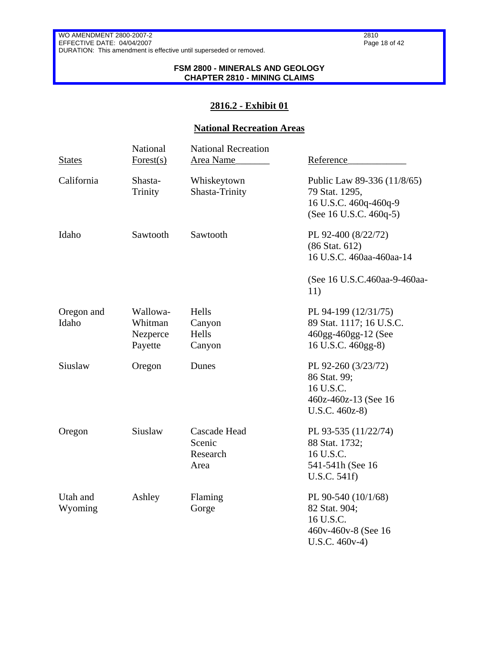#### **FSM 2800 - MINERALS AND GEOLOGY CHAPTER 2810 - MINING CLAIMS**

### **2816.2 - Exhibit 01**

### **National Recreation Areas**

| <b>States</b>       | National<br>Forest $(s)$                   | <b>National Recreation</b><br>Area Name           | Reference                                                                                        |
|---------------------|--------------------------------------------|---------------------------------------------------|--------------------------------------------------------------------------------------------------|
| California          | Shasta-<br>Trinity                         | Whiskeytown<br>Shasta-Trinity                     | Public Law 89-336 (11/8/65)<br>79 Stat. 1295,<br>16 U.S.C. 460q-460q-9<br>(See 16 U.S.C. 460q-5) |
| Idaho               | Sawtooth                                   | Sawtooth                                          | PL 92-400 (8/22/72)<br>(86 Stat. 612)<br>16 U.S.C. 460aa-460aa-14                                |
|                     |                                            |                                                   | (See 16 U.S.C.460aa-9-460aa-<br>11)                                                              |
| Oregon and<br>Idaho | Wallowa-<br>Whitman<br>Nezperce<br>Payette | Hells<br>Canyon<br>Hells<br>Canyon                | PL 94-199 (12/31/75)<br>89 Stat. 1117; 16 U.S.C.<br>460gg-460gg-12 (See<br>16 U.S.C. 460gg-8)    |
| Siuslaw             | Oregon                                     | Dunes                                             | PL 92-260 (3/23/72)<br>86 Stat. 99;<br>16 U.S.C.<br>460z-460z-13 (See 16<br>$U.S.C. 460z-8)$     |
| Oregon              | Siuslaw                                    | <b>Cascade Head</b><br>Scenic<br>Research<br>Area | PL 93-535 (11/22/74)<br>88 Stat. 1732;<br>16 U.S.C.<br>541-541h (See 16<br>U.S.C. 541f)          |
| Utah and<br>Wyoming | Ashley                                     | Flaming<br>Gorge                                  | PL 90-540 (10/1/68)<br>82 Stat. 904;<br>16 U.S.C.<br>460v-460v-8 (See 16)<br>$U.S.C. 460v-4)$    |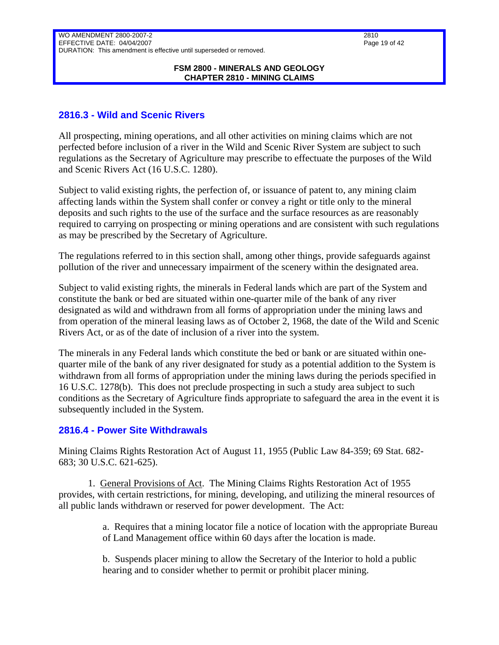#### **FSM 2800 - MINERALS AND GEOLOGY CHAPTER 2810 - MINING CLAIMS**

### <span id="page-18-0"></span>**2816.3 - Wild and Scenic Rivers**

All prospecting, mining operations, and all other activities on mining claims which are not perfected before inclusion of a river in the Wild and Scenic River System are subject to such regulations as the Secretary of Agriculture may prescribe to effectuate the purposes of the Wild and Scenic Rivers Act (16 U.S.C. 1280).

Subject to valid existing rights, the perfection of, or issuance of patent to, any mining claim affecting lands within the System shall confer or convey a right or title only to the mineral deposits and such rights to the use of the surface and the surface resources as are reasonably required to carrying on prospecting or mining operations and are consistent with such regulations as may be prescribed by the Secretary of Agriculture.

The regulations referred to in this section shall, among other things, provide safeguards against pollution of the river and unnecessary impairment of the scenery within the designated area.

Subject to valid existing rights, the minerals in Federal lands which are part of the System and constitute the bank or bed are situated within one-quarter mile of the bank of any river designated as wild and withdrawn from all forms of appropriation under the mining laws and from operation of the mineral leasing laws as of October 2, 1968, the date of the Wild and Scenic Rivers Act, or as of the date of inclusion of a river into the system.

The minerals in any Federal lands which constitute the bed or bank or are situated within onequarter mile of the bank of any river designated for study as a potential addition to the System is withdrawn from all forms of appropriation under the mining laws during the periods specified in 16 U.S.C. 1278(b). This does not preclude prospecting in such a study area subject to such conditions as the Secretary of Agriculture finds appropriate to safeguard the area in the event it is subsequently included in the System.

### <span id="page-18-1"></span>**2816.4 - Power Site Withdrawals**

Mining Claims Rights Restoration Act of August 11, 1955 (Public Law 84-359; 69 Stat. 682- 683; 30 U.S.C. 621-625).

1. General Provisions of Act. The Mining Claims Rights Restoration Act of 1955 provides, with certain restrictions, for mining, developing, and utilizing the mineral resources of all public lands withdrawn or reserved for power development. The Act:

> a. Requires that a mining locator file a notice of location with the appropriate Bureau of Land Management office within 60 days after the location is made.

b. Suspends placer mining to allow the Secretary of the Interior to hold a public hearing and to consider whether to permit or prohibit placer mining.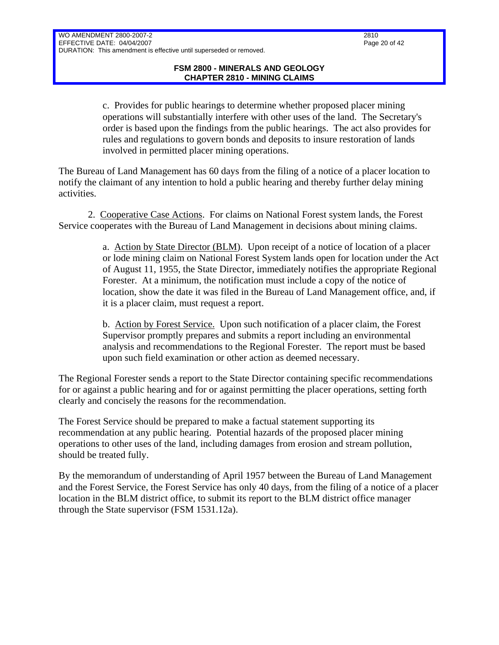c. Provides for public hearings to determine whether proposed placer mining operations will substantially interfere with other uses of the land. The Secretary's order is based upon the findings from the public hearings. The act also provides for rules and regulations to govern bonds and deposits to insure restoration of lands involved in permitted placer mining operations.

The Bureau of Land Management has 60 days from the filing of a notice of a placer location to notify the claimant of any intention to hold a public hearing and thereby further delay mining activities.

2. Cooperative Case Actions. For claims on National Forest system lands, the Forest Service cooperates with the Bureau of Land Management in decisions about mining claims.

> a. Action by State Director (BLM). Upon receipt of a notice of location of a placer or lode mining claim on National Forest System lands open for location under the Act of August 11, 1955, the State Director, immediately notifies the appropriate Regional Forester. At a minimum, the notification must include a copy of the notice of location, show the date it was filed in the Bureau of Land Management office, and, if it is a placer claim, must request a report.

b. Action by Forest Service. Upon such notification of a placer claim, the Forest Supervisor promptly prepares and submits a report including an environmental analysis and recommendations to the Regional Forester. The report must be based upon such field examination or other action as deemed necessary.

The Regional Forester sends a report to the State Director containing specific recommendations for or against a public hearing and for or against permitting the placer operations, setting forth clearly and concisely the reasons for the recommendation.

The Forest Service should be prepared to make a factual statement supporting its recommendation at any public hearing. Potential hazards of the proposed placer mining operations to other uses of the land, including damages from erosion and stream pollution, should be treated fully.

By the memorandum of understanding of April 1957 between the Bureau of Land Management and the Forest Service, the Forest Service has only 40 days, from the filing of a notice of a placer location in the BLM district office, to submit its report to the BLM district office manager through the State supervisor (FSM 1531.12a).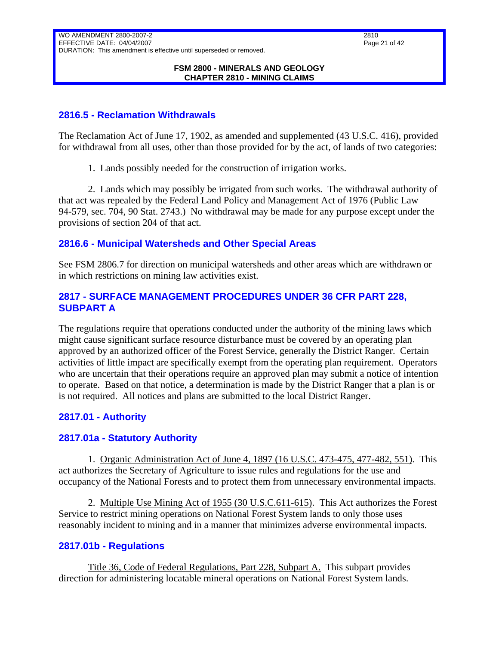### <span id="page-20-0"></span>**2816.5 - Reclamation Withdrawals**

The Reclamation Act of June 17, 1902, as amended and supplemented (43 U.S.C. 416), provided for withdrawal from all uses, other than those provided for by the act, of lands of two categories:

1. Lands possibly needed for the construction of irrigation works.

2. Lands which may possibly be irrigated from such works. The withdrawal authority of that act was repealed by the Federal Land Policy and Management Act of 1976 (Public Law 94-579, sec. 704, 90 Stat. 2743.) No withdrawal may be made for any purpose except under the provisions of section 204 of that act.

### <span id="page-20-1"></span>**2816.6 - Municipal Watersheds and Other Special Areas**

See FSM 2806.7 for direction on municipal watersheds and other areas which are withdrawn or in which restrictions on mining law activities exist.

### <span id="page-20-2"></span>**2817 - SURFACE MANAGEMENT PROCEDURES UNDER 36 CFR PART 228, SUBPART A**

The regulations require that operations conducted under the authority of the mining laws which might cause significant surface resource disturbance must be covered by an operating plan approved by an authorized officer of the Forest Service, generally the District Ranger. Certain activities of little impact are specifically exempt from the operating plan requirement. Operators who are uncertain that their operations require an approved plan may submit a notice of intention to operate. Based on that notice, a determination is made by the District Ranger that a plan is or is not required. All notices and plans are submitted to the local District Ranger.

# <span id="page-20-3"></span>**2817.01 - Authority**

### <span id="page-20-4"></span>**2817.01a - Statutory Authority**

1. Organic Administration Act of June 4, 1897 (16 U.S.C. 473-475, 477-482, 551). This act authorizes the Secretary of Agriculture to issue rules and regulations for the use and occupancy of the National Forests and to protect them from unnecessary environmental impacts.

2. Multiple Use Mining Act of 1955 (30 U.S.C.611-615). This Act authorizes the Forest Service to restrict mining operations on National Forest System lands to only those uses reasonably incident to mining and in a manner that minimizes adverse environmental impacts.

### <span id="page-20-5"></span>**2817.01b - Regulations**

Title 36, Code of Federal Regulations, Part 228, Subpart A. This subpart provides direction for administering locatable mineral operations on National Forest System lands.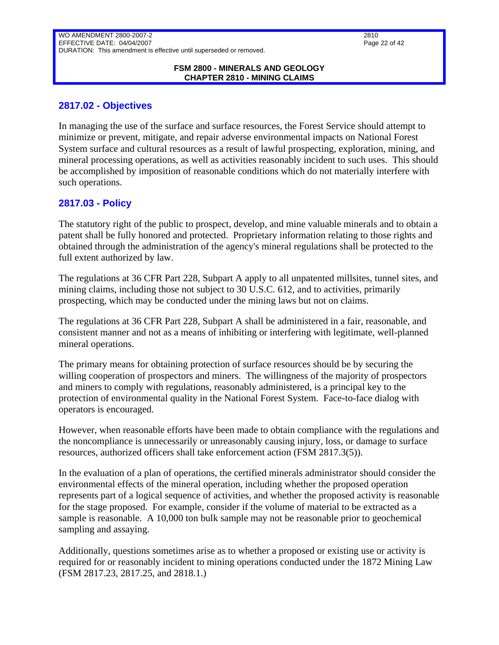#### **FSM 2800 - MINERALS AND GEOLOGY CHAPTER 2810 - MINING CLAIMS**

### <span id="page-21-0"></span>**2817.02 - Objectives**

In managing the use of the surface and surface resources, the Forest Service should attempt to minimize or prevent, mitigate, and repair adverse environmental impacts on National Forest System surface and cultural resources as a result of lawful prospecting, exploration, mining, and mineral processing operations, as well as activities reasonably incident to such uses. This should be accomplished by imposition of reasonable conditions which do not materially interfere with such operations.

### <span id="page-21-1"></span>**2817.03 - Policy**

The statutory right of the public to prospect, develop, and mine valuable minerals and to obtain a patent shall be fully honored and protected. Proprietary information relating to those rights and obtained through the administration of the agency's mineral regulations shall be protected to the full extent authorized by law.

The regulations at 36 CFR Part 228, Subpart A apply to all unpatented millsites, tunnel sites, and mining claims, including those not subject to 30 U.S.C. 612, and to activities, primarily prospecting, which may be conducted under the mining laws but not on claims.

The regulations at 36 CFR Part 228, Subpart A shall be administered in a fair, reasonable, and consistent manner and not as a means of inhibiting or interfering with legitimate, well-planned mineral operations.

The primary means for obtaining protection of surface resources should be by securing the willing cooperation of prospectors and miners. The willingness of the majority of prospectors and miners to comply with regulations, reasonably administered, is a principal key to the protection of environmental quality in the National Forest System. Face-to-face dialog with operators is encouraged.

However, when reasonable efforts have been made to obtain compliance with the regulations and the noncompliance is unnecessarily or unreasonably causing injury, loss, or damage to surface resources, authorized officers shall take enforcement action (FSM 2817.3(5)).

In the evaluation of a plan of operations, the certified minerals administrator should consider the environmental effects of the mineral operation, including whether the proposed operation represents part of a logical sequence of activities, and whether the proposed activity is reasonable for the stage proposed. For example, consider if the volume of material to be extracted as a sample is reasonable. A 10,000 ton bulk sample may not be reasonable prior to geochemical sampling and assaying.

Additionally, questions sometimes arise as to whether a proposed or existing use or activity is required for or reasonably incident to mining operations conducted under the 1872 Mining Law (FSM 2817.23, 2817.25, and 2818.1.)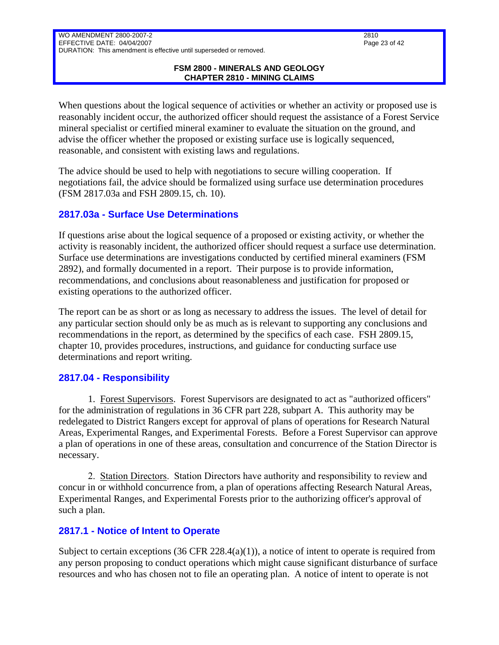#### **FSM 2800 - MINERALS AND GEOLOGY CHAPTER 2810 - MINING CLAIMS**

When questions about the logical sequence of activities or whether an activity or proposed use is reasonably incident occur, the authorized officer should request the assistance of a Forest Service mineral specialist or certified mineral examiner to evaluate the situation on the ground, and advise the officer whether the proposed or existing surface use is logically sequenced, reasonable, and consistent with existing laws and regulations.

The advice should be used to help with negotiations to secure willing cooperation. If negotiations fail, the advice should be formalized using surface use determination procedures (FSM 2817.03a and FSH 2809.15, ch. 10).

### <span id="page-22-0"></span>**2817.03a - Surface Use Determinations**

If questions arise about the logical sequence of a proposed or existing activity, or whether the activity is reasonably incident, the authorized officer should request a surface use determination. Surface use determinations are investigations conducted by certified mineral examiners (FSM 2892), and formally documented in a report. Their purpose is to provide information, recommendations, and conclusions about reasonableness and justification for proposed or existing operations to the authorized officer.

The report can be as short or as long as necessary to address the issues. The level of detail for any particular section should only be as much as is relevant to supporting any conclusions and recommendations in the report, as determined by the specifics of each case. FSH 2809.15, chapter 10, provides procedures, instructions, and guidance for conducting surface use determinations and report writing.

### <span id="page-22-1"></span>**2817.04 - Responsibility**

1. Forest Supervisors. Forest Supervisors are designated to act as "authorized officers" for the administration of regulations in 36 CFR part 228, subpart A. This authority may be redelegated to District Rangers except for approval of plans of operations for Research Natural Areas, Experimental Ranges, and Experimental Forests. Before a Forest Supervisor can approve a plan of operations in one of these areas, consultation and concurrence of the Station Director is necessary.

2. Station Directors. Station Directors have authority and responsibility to review and concur in or withhold concurrence from, a plan of operations affecting Research Natural Areas, Experimental Ranges, and Experimental Forests prior to the authorizing officer's approval of such a plan.

### <span id="page-22-2"></span>**2817.1 - Notice of Intent to Operate**

Subject to certain exceptions  $(36 \text{ CFR } 228.4(a)(1))$ , a notice of intent to operate is required from any person proposing to conduct operations which might cause significant disturbance of surface resources and who has chosen not to file an operating plan. A notice of intent to operate is not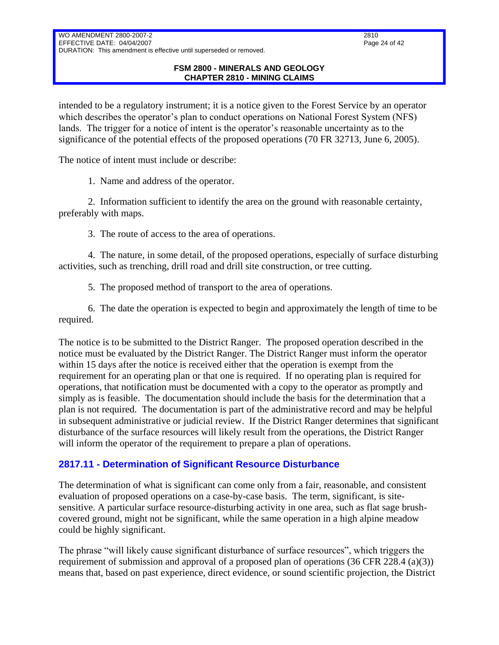# EFFECTIVE DATE: 04/04/2007 DURATION: This amendment is effective until superseded or removed.

#### **FSM 2800 - MINERALS AND GEOLOGY CHAPTER 2810 - MINING CLAIMS**

intended to be a regulatory instrument; it is a notice given to the Forest Service by an operator which describes the operator's plan to conduct operations on National Forest System (NFS) lands. The trigger for a notice of intent is the operator's reasonable uncertainty as to the significance of the potential effects of the proposed operations (70 FR 32713, June 6, 2005).

The notice of intent must include or describe:

WO AMENDMENT 2800-2007-2

1. Name and address of the operator.

2. Information sufficient to identify the area on the ground with reasonable certainty, preferably with maps.

3. The route of access to the area of operations.

4. The nature, in some detail, of the proposed operations, especially of surface disturbing activities, such as trenching, drill road and drill site construction, or tree cutting.

5. The proposed method of transport to the area of operations.

6. The date the operation is expected to begin and approximately the length of time to be required.

The notice is to be submitted to the District Ranger. The proposed operation described in the notice must be evaluated by the District Ranger. The District Ranger must inform the operator within 15 days after the notice is received either that the operation is exempt from the requirement for an operating plan or that one is required. If no operating plan is required for operations, that notification must be documented with a copy to the operator as promptly and simply as is feasible. The documentation should include the basis for the determination that a plan is not required. The documentation is part of the administrative record and may be helpful in subsequent administrative or judicial review. If the District Ranger determines that significant disturbance of the surface resources will likely result from the operations, the District Ranger will inform the operator of the requirement to prepare a plan of operations.

# <span id="page-23-0"></span>**2817.11 - Determination of Significant Resource Disturbance**

The determination of what is significant can come only from a fair, reasonable, and consistent evaluation of proposed operations on a case-by-case basis. The term, significant, is sitesensitive. A particular surface resource-disturbing activity in one area, such as flat sage brushcovered ground, might not be significant, while the same operation in a high alpine meadow could be highly significant.

The phrase "will likely cause significant disturbance of surface resources", which triggers the requirement of submission and approval of a proposed plan of operations  $(36 \text{ CFR } 228.4 \text{ (a)}(3))$ means that, based on past experience, direct evidence, or sound scientific projection, the District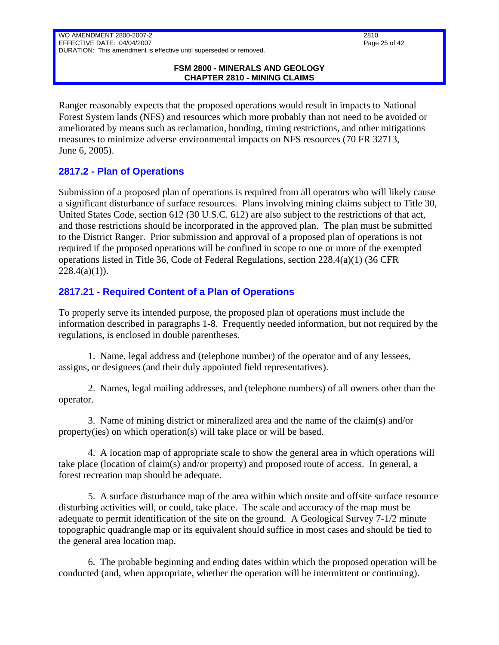#### **FSM 2800 - MINERALS AND GEOLOGY CHAPTER 2810 - MINING CLAIMS**

Ranger reasonably expects that the proposed operations would result in impacts to National Forest System lands (NFS) and resources which more probably than not need to be avoided or ameliorated by means such as reclamation, bonding, timing restrictions, and other mitigations measures to minimize adverse environmental impacts on NFS resources (70 FR 32713, June 6, 2005).

# <span id="page-24-0"></span>**2817.2 - Plan of Operations**

Submission of a proposed plan of operations is required from all operators who will likely cause a significant disturbance of surface resources. Plans involving mining claims subject to Title 30, United States Code, section 612 (30 U.S.C. 612) are also subject to the restrictions of that act, and those restrictions should be incorporated in the approved plan. The plan must be submitted to the District Ranger. Prior submission and approval of a proposed plan of operations is not required if the proposed operations will be confined in scope to one or more of the exempted operations listed in Title 36, Code of Federal Regulations, section 228.4(a)(1) (36 CFR  $228.4(a)(1)$ ).

# <span id="page-24-1"></span>**2817.21 - Required Content of a Plan of Operations**

To properly serve its intended purpose, the proposed plan of operations must include the information described in paragraphs 1-8. Frequently needed information, but not required by the regulations, is enclosed in double parentheses.

1. Name, legal address and (telephone number) of the operator and of any lessees, assigns, or designees (and their duly appointed field representatives).

2. Names, legal mailing addresses, and (telephone numbers) of all owners other than the operator.

3. Name of mining district or mineralized area and the name of the claim(s) and/or property(ies) on which operation(s) will take place or will be based.

4. A location map of appropriate scale to show the general area in which operations will take place (location of claim(s) and/or property) and proposed route of access. In general, a forest recreation map should be adequate.

5. A surface disturbance map of the area within which onsite and offsite surface resource disturbing activities will, or could, take place. The scale and accuracy of the map must be adequate to permit identification of the site on the ground. A Geological Survey 7-1/2 minute topographic quadrangle map or its equivalent should suffice in most cases and should be tied to the general area location map.

6. The probable beginning and ending dates within which the proposed operation will be conducted (and, when appropriate, whether the operation will be intermittent or continuing).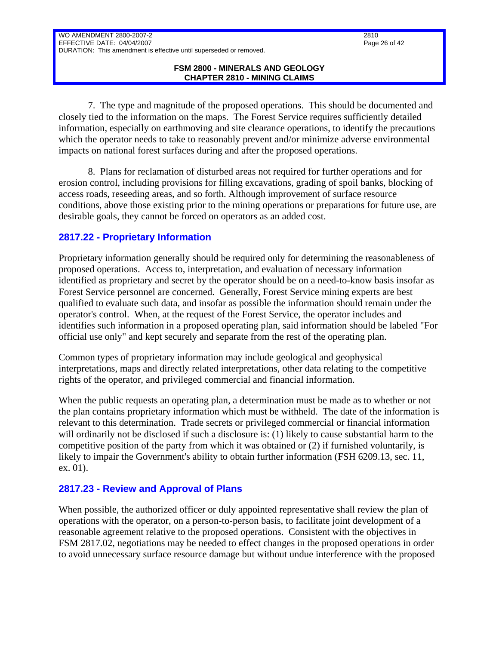7. The type and magnitude of the proposed operations. This should be documented and closely tied to the information on the maps. The Forest Service requires sufficiently detailed information, especially on earthmoving and site clearance operations, to identify the precautions which the operator needs to take to reasonably prevent and/or minimize adverse environmental impacts on national forest surfaces during and after the proposed operations.

8. Plans for reclamation of disturbed areas not required for further operations and for erosion control, including provisions for filling excavations, grading of spoil banks, blocking of access roads, reseeding areas, and so forth. Although improvement of surface resource conditions, above those existing prior to the mining operations or preparations for future use, are desirable goals, they cannot be forced on operators as an added cost.

### <span id="page-25-0"></span>**2817.22 - Proprietary Information**

Proprietary information generally should be required only for determining the reasonableness of proposed operations. Access to, interpretation, and evaluation of necessary information identified as proprietary and secret by the operator should be on a need-to-know basis insofar as Forest Service personnel are concerned. Generally, Forest Service mining experts are best qualified to evaluate such data, and insofar as possible the information should remain under the operator's control. When, at the request of the Forest Service, the operator includes and identifies such information in a proposed operating plan, said information should be labeled "For official use only" and kept securely and separate from the rest of the operating plan.

Common types of proprietary information may include geological and geophysical interpretations, maps and directly related interpretations, other data relating to the competitive rights of the operator, and privileged commercial and financial information.

When the public requests an operating plan, a determination must be made as to whether or not the plan contains proprietary information which must be withheld. The date of the information is relevant to this determination. Trade secrets or privileged commercial or financial information will ordinarily not be disclosed if such a disclosure is: (1) likely to cause substantial harm to the competitive position of the party from which it was obtained or (2) if furnished voluntarily, is likely to impair the Government's ability to obtain further information (FSH 6209.13, sec. 11, ex. 01).

### <span id="page-25-1"></span>**2817.23 - Review and Approval of Plans**

When possible, the authorized officer or duly appointed representative shall review the plan of operations with the operator, on a person-to-person basis, to facilitate joint development of a reasonable agreement relative to the proposed operations. Consistent with the objectives in FSM 2817.02, negotiations may be needed to effect changes in the proposed operations in order to avoid unnecessary surface resource damage but without undue interference with the proposed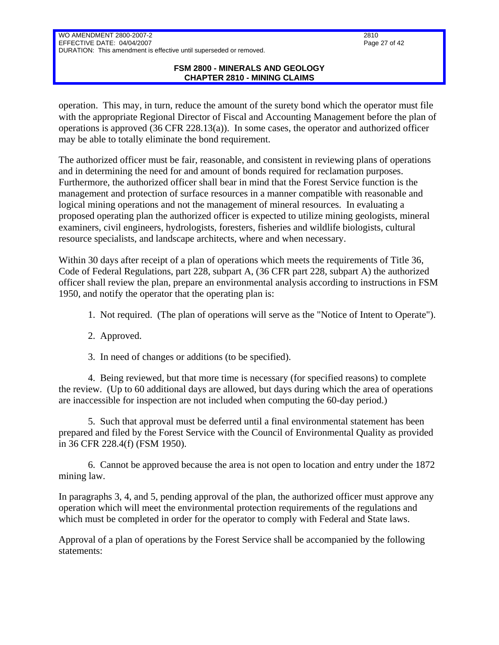#### **FSM 2800 - MINERALS AND GEOLOGY CHAPTER 2810 - MINING CLAIMS**

operation. This may, in turn, reduce the amount of the surety bond which the operator must file with the appropriate Regional Director of Fiscal and Accounting Management before the plan of operations is approved (36 CFR 228.13(a)). In some cases, the operator and authorized officer may be able to totally eliminate the bond requirement.

The authorized officer must be fair, reasonable, and consistent in reviewing plans of operations and in determining the need for and amount of bonds required for reclamation purposes. Furthermore, the authorized officer shall bear in mind that the Forest Service function is the management and protection of surface resources in a manner compatible with reasonable and logical mining operations and not the management of mineral resources. In evaluating a proposed operating plan the authorized officer is expected to utilize mining geologists, mineral examiners, civil engineers, hydrologists, foresters, fisheries and wildlife biologists, cultural resource specialists, and landscape architects, where and when necessary.

Within 30 days after receipt of a plan of operations which meets the requirements of Title 36, Code of Federal Regulations, part 228, subpart A, (36 CFR part 228, subpart A) the authorized officer shall review the plan, prepare an environmental analysis according to instructions in FSM 1950, and notify the operator that the operating plan is:

- 1. Not required. (The plan of operations will serve as the "Notice of Intent to Operate").
- 2. Approved.
- 3. In need of changes or additions (to be specified).

4. Being reviewed, but that more time is necessary (for specified reasons) to complete the review. (Up to 60 additional days are allowed, but days during which the area of operations are inaccessible for inspection are not included when computing the 60-day period.)

5. Such that approval must be deferred until a final environmental statement has been prepared and filed by the Forest Service with the Council of Environmental Quality as provided in 36 CFR 228.4(f) (FSM 1950).

6. Cannot be approved because the area is not open to location and entry under the 1872 mining law.

In paragraphs 3, 4, and 5, pending approval of the plan, the authorized officer must approve any operation which will meet the environmental protection requirements of the regulations and which must be completed in order for the operator to comply with Federal and State laws.

Approval of a plan of operations by the Forest Service shall be accompanied by the following statements: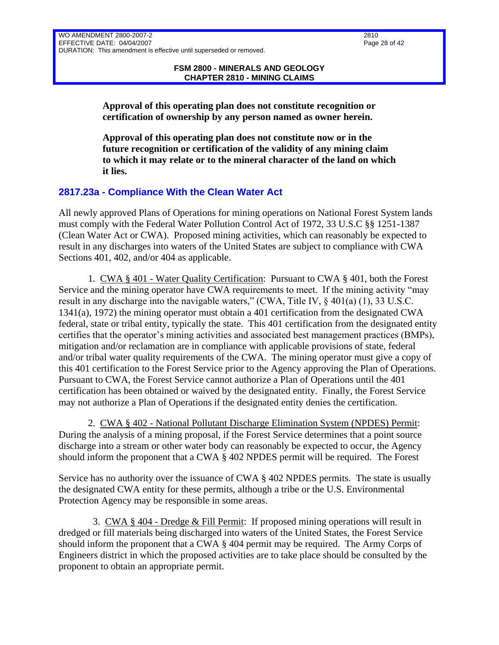**Approval of this operating plan does not constitute recognition or certification of ownership by any person named as owner herein.**

**Approval of this operating plan does not constitute now or in the future recognition or certification of the validity of any mining claim to which it may relate or to the mineral character of the land on which it lies.**

### <span id="page-27-0"></span>**2817.23a - Compliance With the Clean Water Act**

All newly approved Plans of Operations for mining operations on National Forest System lands must comply with the Federal Water Pollution Control Act of 1972, 33 U.S.C §§ 1251-1387 (Clean Water Act or CWA). Proposed mining activities, which can reasonably be expected to result in any discharges into waters of the United States are subject to compliance with CWA Sections 401, 402, and/or 404 as applicable.

1. CWA § 401 - Water Quality Certification: Pursuant to CWA § 401, both the Forest Service and the mining operator have CWA requirements to meet. If the mining activity "may result in any discharge into the navigable waters," (CWA, Title IV, § 401(a) (1), 33 U.S.C. 1341(a), 1972) the mining operator must obtain a 401 certification from the designated CWA federal, state or tribal entity, typically the state. This 401 certification from the designated entity certifies that the operator's mining activities and associated best management practices (BMPs), mitigation and/or reclamation are in compliance with applicable provisions of state, federal and/or tribal water quality requirements of the CWA. The mining operator must give a copy of this 401 certification to the Forest Service prior to the Agency approving the Plan of Operations. Pursuant to CWA, the Forest Service cannot authorize a Plan of Operations until the 401 certification has been obtained or waived by the designated entity. Finally, the Forest Service may not authorize a Plan of Operations if the designated entity denies the certification.

2. CWA § 402 - National Pollutant Discharge Elimination System (NPDES) Permit: During the analysis of a mining proposal, if the Forest Service determines that a point source discharge into a stream or other water body can reasonably be expected to occur, the Agency should inform the proponent that a CWA § 402 NPDES permit will be required. The Forest

Service has no authority over the issuance of CWA § 402 NPDES permits. The state is usually the designated CWA entity for these permits, although a tribe or the U.S. Environmental Protection Agency may be responsible in some areas.

 3. CWA § 404 - Dredge & Fill Permit: If proposed mining operations will result in dredged or fill materials being discharged into waters of the United States, the Forest Service should inform the proponent that a CWA § 404 permit may be required. The Army Corps of Engineers district in which the proposed activities are to take place should be consulted by the proponent to obtain an appropriate permit.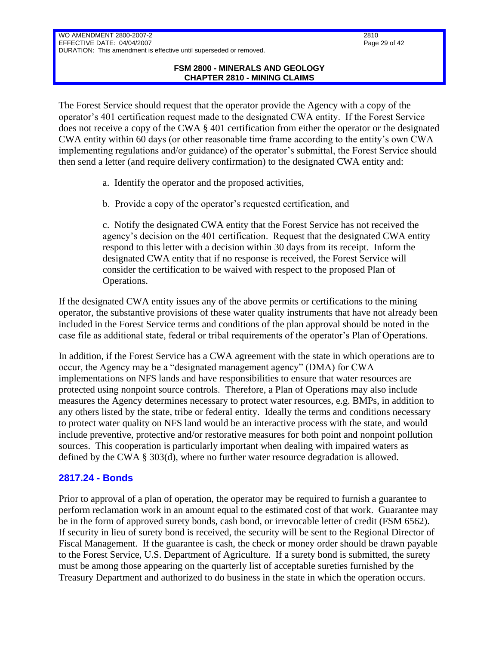#### **FSM 2800 - MINERALS AND GEOLOGY CHAPTER 2810 - MINING CLAIMS**

The Forest Service should request that the operator provide the Agency with a copy of the operator's 401 certification request made to the designated CWA entity. If the Forest Service does not receive a copy of the CWA § 401 certification from either the operator or the designated CWA entity within 60 days (or other reasonable time frame according to the entity's own CWA implementing regulations and/or guidance) of the operator's submittal, the Forest Service should then send a letter (and require delivery confirmation) to the designated CWA entity and:

- a. Identify the operator and the proposed activities,
- b. Provide a copy of the operator's requested certification, and

c. Notify the designated CWA entity that the Forest Service has not received the agency's decision on the 401 certification. Request that the designated CWA entity respond to this letter with a decision within 30 days from its receipt. Inform the designated CWA entity that if no response is received, the Forest Service will consider the certification to be waived with respect to the proposed Plan of Operations.

If the designated CWA entity issues any of the above permits or certifications to the mining operator, the substantive provisions of these water quality instruments that have not already been included in the Forest Service terms and conditions of the plan approval should be noted in the case file as additional state, federal or tribal requirements of the operator's Plan of Operations.

In addition, if the Forest Service has a CWA agreement with the state in which operations are to occur, the Agency may be a "designated management agency" (DMA) for CWA implementations on NFS lands and have responsibilities to ensure that water resources are protected using nonpoint source controls. Therefore, a Plan of Operations may also include measures the Agency determines necessary to protect water resources, e.g. BMPs, in addition to any others listed by the state, tribe or federal entity. Ideally the terms and conditions necessary to protect water quality on NFS land would be an interactive process with the state, and would include preventive, protective and/or restorative measures for both point and nonpoint pollution sources. This cooperation is particularly important when dealing with impaired waters as defined by the CWA § 303(d), where no further water resource degradation is allowed.

### <span id="page-28-0"></span>**2817.24 - Bonds**

Prior to approval of a plan of operation, the operator may be required to furnish a guarantee to perform reclamation work in an amount equal to the estimated cost of that work. Guarantee may be in the form of approved surety bonds, cash bond, or irrevocable letter of credit (FSM 6562). If security in lieu of surety bond is received, the security will be sent to the Regional Director of Fiscal Management. If the guarantee is cash, the check or money order should be drawn payable to the Forest Service, U.S. Department of Agriculture. If a surety bond is submitted, the surety must be among those appearing on the quarterly list of acceptable sureties furnished by the Treasury Department and authorized to do business in the state in which the operation occurs.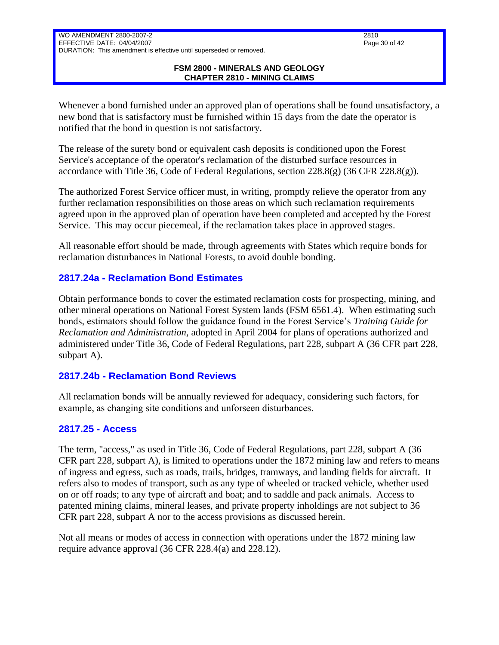#### **FSM 2800 - MINERALS AND GEOLOGY CHAPTER 2810 - MINING CLAIMS**

Whenever a bond furnished under an approved plan of operations shall be found unsatisfactory, a new bond that is satisfactory must be furnished within 15 days from the date the operator is notified that the bond in question is not satisfactory.

The release of the surety bond or equivalent cash deposits is conditioned upon the Forest Service's acceptance of the operator's reclamation of the disturbed surface resources in accordance with Title 36, Code of Federal Regulations, section  $228.8(g)$  (36 CFR  $228.8(g)$ ).

The authorized Forest Service officer must, in writing, promptly relieve the operator from any further reclamation responsibilities on those areas on which such reclamation requirements agreed upon in the approved plan of operation have been completed and accepted by the Forest Service. This may occur piecemeal, if the reclamation takes place in approved stages.

All reasonable effort should be made, through agreements with States which require bonds for reclamation disturbances in National Forests, to avoid double bonding.

### <span id="page-29-0"></span>**2817.24a - Reclamation Bond Estimates**

Obtain performance bonds to cover the estimated reclamation costs for prospecting, mining, and other mineral operations on National Forest System lands (FSM 6561.4). When estimating such bonds, estimators should follow the guidance found in the Forest Service's *Training Guide for Reclamation and Administration,* adopted in April 2004 for plans of operations authorized and administered under Title 36, Code of Federal Regulations, part 228, subpart A (36 CFR part 228, subpart A).

# <span id="page-29-1"></span>**2817.24b - Reclamation Bond Reviews**

All reclamation bonds will be annually reviewed for adequacy, considering such factors, for example, as changing site conditions and unforseen disturbances.

# <span id="page-29-2"></span>**2817.25 - Access**

The term, "access," as used in Title 36, Code of Federal Regulations, part 228, subpart A (36 CFR part 228, subpart A), is limited to operations under the 1872 mining law and refers to means of ingress and egress, such as roads, trails, bridges, tramways, and landing fields for aircraft. It refers also to modes of transport, such as any type of wheeled or tracked vehicle, whether used on or off roads; to any type of aircraft and boat; and to saddle and pack animals. Access to patented mining claims, mineral leases, and private property inholdings are not subject to 36 CFR part 228, subpart A nor to the access provisions as discussed herein.

Not all means or modes of access in connection with operations under the 1872 mining law require advance approval (36 CFR 228.4(a) and 228.12).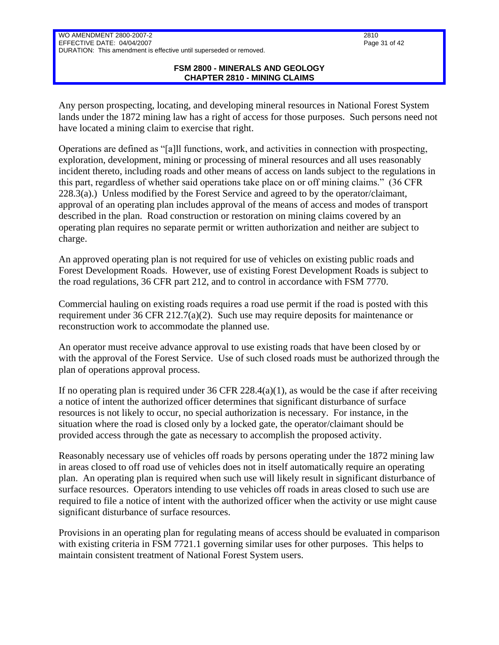#### **FSM 2800 - MINERALS AND GEOLOGY CHAPTER 2810 - MINING CLAIMS**

Any person prospecting, locating, and developing mineral resources in National Forest System lands under the 1872 mining law has a right of access for those purposes. Such persons need not have located a mining claim to exercise that right.

Operations are defined as "[a]ll functions, work, and activities in connection with prospecting, exploration, development, mining or processing of mineral resources and all uses reasonably incident thereto, including roads and other means of access on lands subject to the regulations in this part, regardless of whether said operations take place on or off mining claims." (36 CFR 228.3(a).) Unless modified by the Forest Service and agreed to by the operator/claimant, approval of an operating plan includes approval of the means of access and modes of transport described in the plan. Road construction or restoration on mining claims covered by an operating plan requires no separate permit or written authorization and neither are subject to charge.

An approved operating plan is not required for use of vehicles on existing public roads and Forest Development Roads. However, use of existing Forest Development Roads is subject to the road regulations, 36 CFR part 212, and to control in accordance with FSM 7770.

Commercial hauling on existing roads requires a road use permit if the road is posted with this requirement under 36 CFR 212.7(a)(2). Such use may require deposits for maintenance or reconstruction work to accommodate the planned use.

An operator must receive advance approval to use existing roads that have been closed by or with the approval of the Forest Service. Use of such closed roads must be authorized through the plan of operations approval process.

If no operating plan is required under 36 CFR 228.4(a)(1), as would be the case if after receiving a notice of intent the authorized officer determines that significant disturbance of surface resources is not likely to occur, no special authorization is necessary. For instance, in the situation where the road is closed only by a locked gate, the operator/claimant should be provided access through the gate as necessary to accomplish the proposed activity.

Reasonably necessary use of vehicles off roads by persons operating under the 1872 mining law in areas closed to off road use of vehicles does not in itself automatically require an operating plan. An operating plan is required when such use will likely result in significant disturbance of surface resources. Operators intending to use vehicles off roads in areas closed to such use are required to file a notice of intent with the authorized officer when the activity or use might cause significant disturbance of surface resources.

Provisions in an operating plan for regulating means of access should be evaluated in comparison with existing criteria in FSM 7721.1 governing similar uses for other purposes. This helps to maintain consistent treatment of National Forest System users.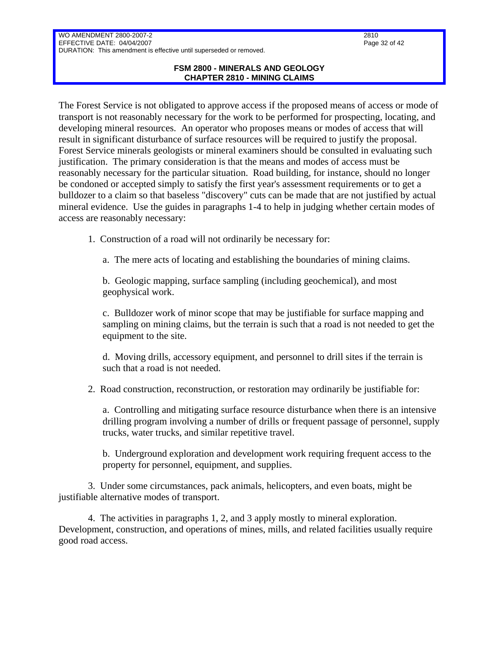#### **FSM 2800 - MINERALS AND GEOLOGY CHAPTER 2810 - MINING CLAIMS**

The Forest Service is not obligated to approve access if the proposed means of access or mode of transport is not reasonably necessary for the work to be performed for prospecting, locating, and developing mineral resources. An operator who proposes means or modes of access that will result in significant disturbance of surface resources will be required to justify the proposal. Forest Service minerals geologists or mineral examiners should be consulted in evaluating such justification. The primary consideration is that the means and modes of access must be reasonably necessary for the particular situation. Road building, for instance, should no longer be condoned or accepted simply to satisfy the first year's assessment requirements or to get a bulldozer to a claim so that baseless "discovery" cuts can be made that are not justified by actual mineral evidence. Use the guides in paragraphs 1-4 to help in judging whether certain modes of access are reasonably necessary:

1. Construction of a road will not ordinarily be necessary for:

a. The mere acts of locating and establishing the boundaries of mining claims.

b. Geologic mapping, surface sampling (including geochemical), and most geophysical work.

c. Bulldozer work of minor scope that may be justifiable for surface mapping and sampling on mining claims, but the terrain is such that a road is not needed to get the equipment to the site.

d. Moving drills, accessory equipment, and personnel to drill sites if the terrain is such that a road is not needed.

2. Road construction, reconstruction, or restoration may ordinarily be justifiable for:

a. Controlling and mitigating surface resource disturbance when there is an intensive drilling program involving a number of drills or frequent passage of personnel, supply trucks, water trucks, and similar repetitive travel.

b. Underground exploration and development work requiring frequent access to the property for personnel, equipment, and supplies.

3. Under some circumstances, pack animals, helicopters, and even boats, might be justifiable alternative modes of transport.

4. The activities in paragraphs 1, 2, and 3 apply mostly to mineral exploration. Development, construction, and operations of mines, mills, and related facilities usually require good road access.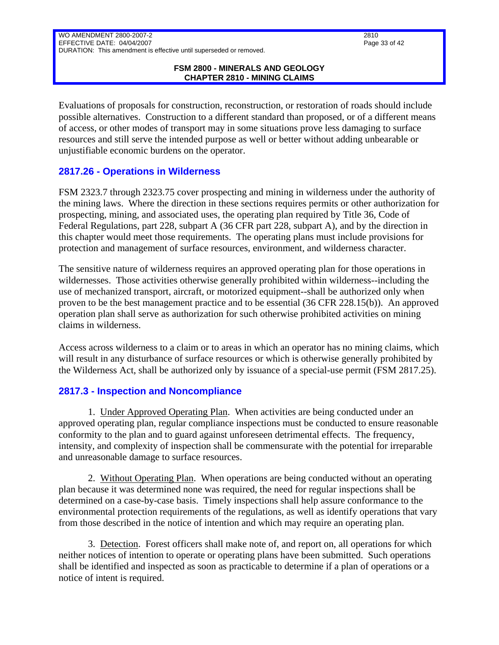#### **FSM 2800 - MINERALS AND GEOLOGY CHAPTER 2810 - MINING CLAIMS**

Evaluations of proposals for construction, reconstruction, or restoration of roads should include possible alternatives. Construction to a different standard than proposed, or of a different means of access, or other modes of transport may in some situations prove less damaging to surface resources and still serve the intended purpose as well or better without adding unbearable or unjustifiable economic burdens on the operator.

### <span id="page-32-0"></span>**2817.26 - Operations in Wilderness**

FSM 2323.7 through 2323.75 cover prospecting and mining in wilderness under the authority of the mining laws. Where the direction in these sections requires permits or other authorization for prospecting, mining, and associated uses, the operating plan required by Title 36, Code of Federal Regulations, part 228, subpart A (36 CFR part 228, subpart A), and by the direction in this chapter would meet those requirements. The operating plans must include provisions for protection and management of surface resources, environment, and wilderness character.

The sensitive nature of wilderness requires an approved operating plan for those operations in wildernesses. Those activities otherwise generally prohibited within wilderness--including the use of mechanized transport, aircraft, or motorized equipment--shall be authorized only when proven to be the best management practice and to be essential (36 CFR 228.15(b)). An approved operation plan shall serve as authorization for such otherwise prohibited activities on mining claims in wilderness.

Access across wilderness to a claim or to areas in which an operator has no mining claims, which will result in any disturbance of surface resources or which is otherwise generally prohibited by the Wilderness Act, shall be authorized only by issuance of a special-use permit (FSM 2817.25).

### <span id="page-32-1"></span>**2817.3 - Inspection and Noncompliance**

1. Under Approved Operating Plan. When activities are being conducted under an approved operating plan, regular compliance inspections must be conducted to ensure reasonable conformity to the plan and to guard against unforeseen detrimental effects. The frequency, intensity, and complexity of inspection shall be commensurate with the potential for irreparable and unreasonable damage to surface resources.

2. Without Operating Plan. When operations are being conducted without an operating plan because it was determined none was required, the need for regular inspections shall be determined on a case-by-case basis. Timely inspections shall help assure conformance to the environmental protection requirements of the regulations, as well as identify operations that vary from those described in the notice of intention and which may require an operating plan.

3. Detection. Forest officers shall make note of, and report on, all operations for which neither notices of intention to operate or operating plans have been submitted. Such operations shall be identified and inspected as soon as practicable to determine if a plan of operations or a notice of intent is required.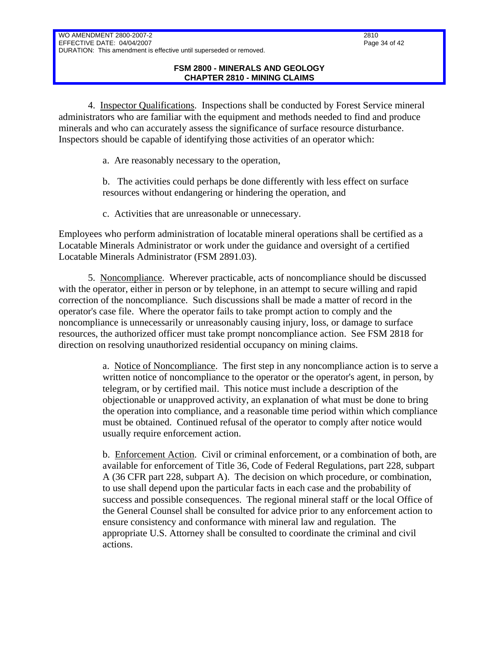4. Inspector Qualifications. Inspections shall be conducted by Forest Service mineral administrators who are familiar with the equipment and methods needed to find and produce minerals and who can accurately assess the significance of surface resource disturbance. Inspectors should be capable of identifying those activities of an operator which:

a. Are reasonably necessary to the operation,

b. The activities could perhaps be done differently with less effect on surface resources without endangering or hindering the operation, and

c. Activities that are unreasonable or unnecessary.

Employees who perform administration of locatable mineral operations shall be certified as a Locatable Minerals Administrator or work under the guidance and oversight of a certified Locatable Minerals Administrator (FSM 2891.03).

5. Noncompliance. Wherever practicable, acts of noncompliance should be discussed with the operator, either in person or by telephone, in an attempt to secure willing and rapid correction of the noncompliance. Such discussions shall be made a matter of record in the operator's case file. Where the operator fails to take prompt action to comply and the noncompliance is unnecessarily or unreasonably causing injury, loss, or damage to surface resources, the authorized officer must take prompt noncompliance action. See FSM 2818 for direction on resolving unauthorized residential occupancy on mining claims.

> a. Notice of Noncompliance. The first step in any noncompliance action is to serve a written notice of noncompliance to the operator or the operator's agent, in person, by telegram, or by certified mail. This notice must include a description of the objectionable or unapproved activity, an explanation of what must be done to bring the operation into compliance, and a reasonable time period within which compliance must be obtained. Continued refusal of the operator to comply after notice would usually require enforcement action.

> b. Enforcement Action. Civil or criminal enforcement, or a combination of both, are available for enforcement of Title 36, Code of Federal Regulations, part 228, subpart A (36 CFR part 228, subpart A). The decision on which procedure, or combination, to use shall depend upon the particular facts in each case and the probability of success and possible consequences. The regional mineral staff or the local Office of the General Counsel shall be consulted for advice prior to any enforcement action to ensure consistency and conformance with mineral law and regulation. The appropriate U.S. Attorney shall be consulted to coordinate the criminal and civil actions.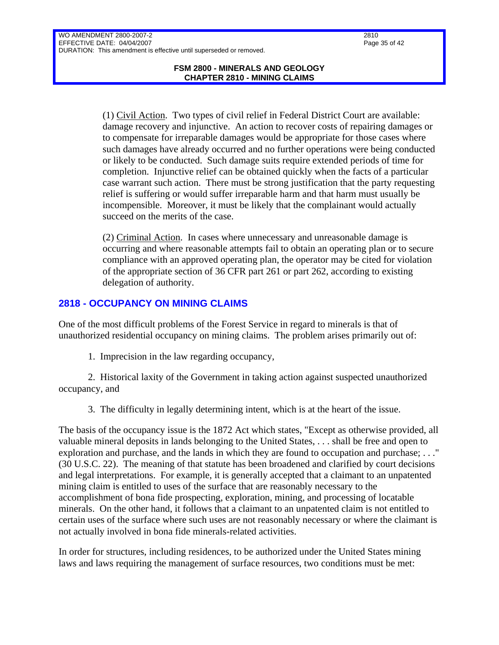(1) Civil Action. Two types of civil relief in Federal District Court are available: damage recovery and injunctive. An action to recover costs of repairing damages or to compensate for irreparable damages would be appropriate for those cases where such damages have already occurred and no further operations were being conducted or likely to be conducted. Such damage suits require extended periods of time for completion. Injunctive relief can be obtained quickly when the facts of a particular case warrant such action. There must be strong justification that the party requesting relief is suffering or would suffer irreparable harm and that harm must usually be incompensible. Moreover, it must be likely that the complainant would actually succeed on the merits of the case.

(2) Criminal Action. In cases where unnecessary and unreasonable damage is occurring and where reasonable attempts fail to obtain an operating plan or to secure compliance with an approved operating plan, the operator may be cited for violation of the appropriate section of 36 CFR part 261 or part 262, according to existing delegation of authority.

### <span id="page-34-0"></span>**2818 - OCCUPANCY ON MINING CLAIMS**

One of the most difficult problems of the Forest Service in regard to minerals is that of unauthorized residential occupancy on mining claims. The problem arises primarily out of:

1. Imprecision in the law regarding occupancy,

2. Historical laxity of the Government in taking action against suspected unauthorized occupancy, and

3. The difficulty in legally determining intent, which is at the heart of the issue.

The basis of the occupancy issue is the 1872 Act which states, "Except as otherwise provided, all valuable mineral deposits in lands belonging to the United States, . . . shall be free and open to exploration and purchase, and the lands in which they are found to occupation and purchase; . . ." (30 U.S.C. 22). The meaning of that statute has been broadened and clarified by court decisions and legal interpretations. For example, it is generally accepted that a claimant to an unpatented mining claim is entitled to uses of the surface that are reasonably necessary to the accomplishment of bona fide prospecting, exploration, mining, and processing of locatable minerals. On the other hand, it follows that a claimant to an unpatented claim is not entitled to certain uses of the surface where such uses are not reasonably necessary or where the claimant is not actually involved in bona fide minerals-related activities.

In order for structures, including residences, to be authorized under the United States mining laws and laws requiring the management of surface resources, two conditions must be met: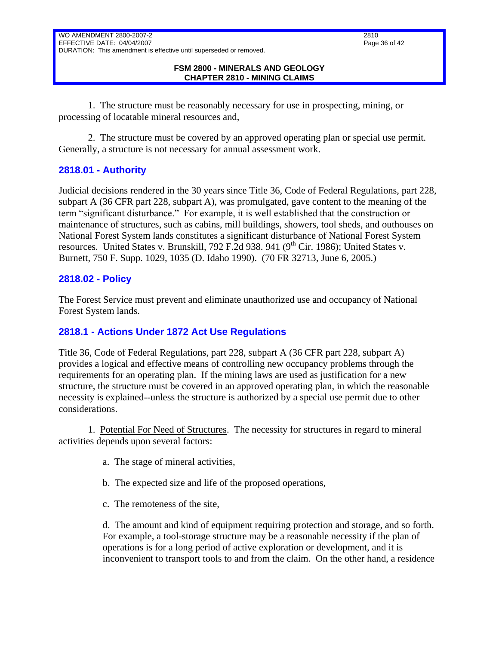#### **FSM 2800 - MINERALS AND GEOLOGY CHAPTER 2810 - MINING CLAIMS**

1. The structure must be reasonably necessary for use in prospecting, mining, or processing of locatable mineral resources and,

2. The structure must be covered by an approved operating plan or special use permit. Generally, a structure is not necessary for annual assessment work.

### <span id="page-35-0"></span>**2818.01 - Authority**

Judicial decisions rendered in the 30 years since Title 36, Code of Federal Regulations, part 228, subpart A (36 CFR part 228, subpart A), was promulgated, gave content to the meaning of the term "significant disturbance." For example, it is well established that the construction or maintenance of structures, such as cabins, mill buildings, showers, tool sheds, and outhouses on National Forest System lands constitutes a significant disturbance of National Forest System resources. United States v. Brunskill, 792 F.2d 938. 941 ( $9<sup>th</sup>$  Cir. 1986); United States v. Burnett, 750 F. Supp. 1029, 1035 (D. Idaho 1990). (70 FR 32713, June 6, 2005.)

### <span id="page-35-1"></span>**2818.02 - Policy**

The Forest Service must prevent and eliminate unauthorized use and occupancy of National Forest System lands.

# <span id="page-35-2"></span>**2818.1 - Actions Under 1872 Act Use Regulations**

Title 36, Code of Federal Regulations, part 228, subpart A (36 CFR part 228, subpart A) provides a logical and effective means of controlling new occupancy problems through the requirements for an operating plan. If the mining laws are used as justification for a new structure, the structure must be covered in an approved operating plan, in which the reasonable necessity is explained--unless the structure is authorized by a special use permit due to other considerations.

1. Potential For Need of Structures. The necessity for structures in regard to mineral activities depends upon several factors:

- a. The stage of mineral activities,
- b. The expected size and life of the proposed operations,
- c. The remoteness of the site,

d. The amount and kind of equipment requiring protection and storage, and so forth. For example, a tool-storage structure may be a reasonable necessity if the plan of operations is for a long period of active exploration or development, and it is inconvenient to transport tools to and from the claim. On the other hand, a residence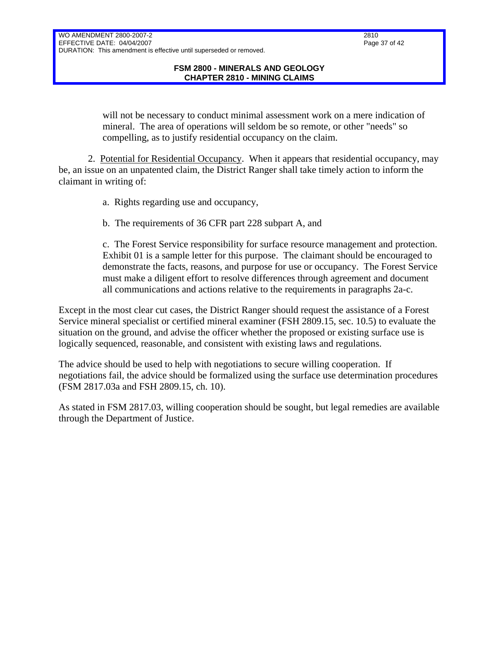will not be necessary to conduct minimal assessment work on a mere indication of mineral. The area of operations will seldom be so remote, or other "needs" so compelling, as to justify residential occupancy on the claim.

2. Potential for Residential Occupancy. When it appears that residential occupancy, may be, an issue on an unpatented claim, the District Ranger shall take timely action to inform the claimant in writing of:

a. Rights regarding use and occupancy,

b. The requirements of 36 CFR part 228 subpart A, and

c. The Forest Service responsibility for surface resource management and protection. Exhibit 01 is a sample letter for this purpose. The claimant should be encouraged to demonstrate the facts, reasons, and purpose for use or occupancy. The Forest Service must make a diligent effort to resolve differences through agreement and document all communications and actions relative to the requirements in paragraphs 2a-c.

Except in the most clear cut cases, the District Ranger should request the assistance of a Forest Service mineral specialist or certified mineral examiner (FSH 2809.15, sec. 10.5) to evaluate the situation on the ground, and advise the officer whether the proposed or existing surface use is logically sequenced, reasonable, and consistent with existing laws and regulations.

The advice should be used to help with negotiations to secure willing cooperation. If negotiations fail, the advice should be formalized using the surface use determination procedures (FSM 2817.03a and FSH 2809.15, ch. 10).

As stated in FSM 2817.03, willing cooperation should be sought, but legal remedies are available through the Department of Justice.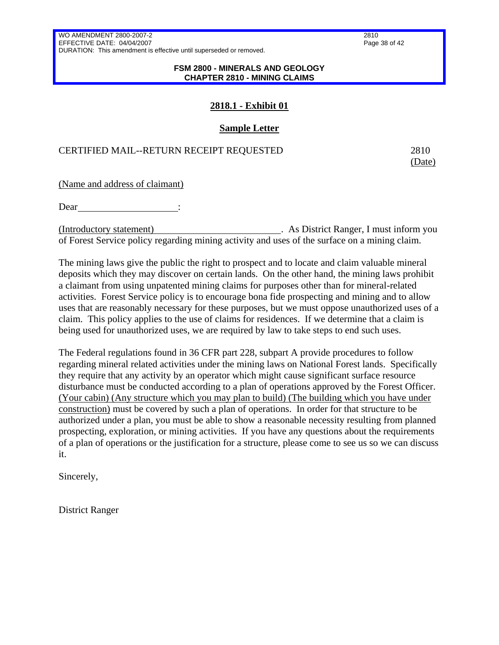#### **FSM 2800 - MINERALS AND GEOLOGY CHAPTER 2810 - MINING CLAIMS**

### **2818.1 - Exhibit 01**

### **Sample Letter**

### CERTIFIED MAIL--RETURN RECEIPT REQUESTED 2810

(Date)

(Name and address of claimant)

Dear :

(Introductory statement) . As District Ranger, I must inform you of Forest Service policy regarding mining activity and uses of the surface on a mining claim.

The mining laws give the public the right to prospect and to locate and claim valuable mineral deposits which they may discover on certain lands. On the other hand, the mining laws prohibit a claimant from using unpatented mining claims for purposes other than for mineral-related activities. Forest Service policy is to encourage bona fide prospecting and mining and to allow uses that are reasonably necessary for these purposes, but we must oppose unauthorized uses of a claim. This policy applies to the use of claims for residences. If we determine that a claim is being used for unauthorized uses, we are required by law to take steps to end such uses.

The Federal regulations found in 36 CFR part 228, subpart A provide procedures to follow regarding mineral related activities under the mining laws on National Forest lands. Specifically they require that any activity by an operator which might cause significant surface resource disturbance must be conducted according to a plan of operations approved by the Forest Officer. (Your cabin) (Any structure which you may plan to build) (The building which you have under construction) must be covered by such a plan of operations. In order for that structure to be authorized under a plan, you must be able to show a reasonable necessity resulting from planned prospecting, exploration, or mining activities. If you have any questions about the requirements of a plan of operations or the justification for a structure, please come to see us so we can discuss it.

Sincerely,

District Ranger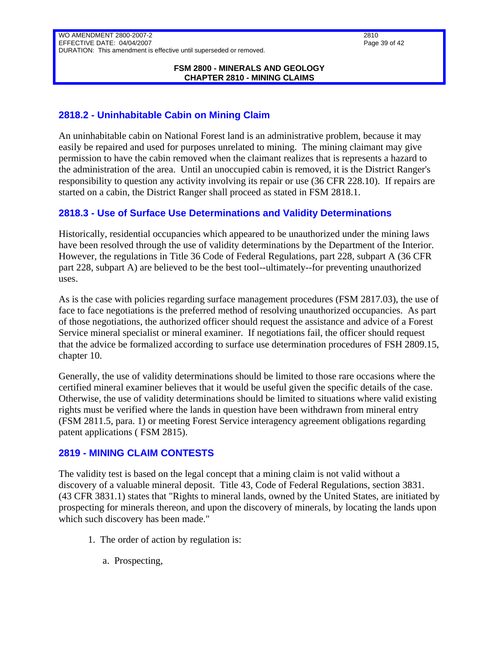#### **FSM 2800 - MINERALS AND GEOLOGY CHAPTER 2810 - MINING CLAIMS**

# <span id="page-38-0"></span>**2818.2 - Uninhabitable Cabin on Mining Claim**

An uninhabitable cabin on National Forest land is an administrative problem, because it may easily be repaired and used for purposes unrelated to mining. The mining claimant may give permission to have the cabin removed when the claimant realizes that is represents a hazard to the administration of the area. Until an unoccupied cabin is removed, it is the District Ranger's responsibility to question any activity involving its repair or use (36 CFR 228.10). If repairs are started on a cabin, the District Ranger shall proceed as stated in FSM 2818.1.

### <span id="page-38-1"></span>**2818.3 - Use of Surface Use Determinations and Validity Determinations**

Historically, residential occupancies which appeared to be unauthorized under the mining laws have been resolved through the use of validity determinations by the Department of the Interior. However, the regulations in Title 36 Code of Federal Regulations, part 228, subpart A (36 CFR part 228, subpart A) are believed to be the best tool--ultimately--for preventing unauthorized uses.

As is the case with policies regarding surface management procedures (FSM 2817.03), the use of face to face negotiations is the preferred method of resolving unauthorized occupancies. As part of those negotiations, the authorized officer should request the assistance and advice of a Forest Service mineral specialist or mineral examiner. If negotiations fail, the officer should request that the advice be formalized according to surface use determination procedures of FSH 2809.15, chapter 10.

Generally, the use of validity determinations should be limited to those rare occasions where the certified mineral examiner believes that it would be useful given the specific details of the case. Otherwise, the use of validity determinations should be limited to situations where valid existing rights must be verified where the lands in question have been withdrawn from mineral entry (FSM 2811.5, para. 1) or meeting Forest Service interagency agreement obligations regarding patent applications ( FSM 2815).

### <span id="page-38-2"></span>**2819 - MINING CLAIM CONTESTS**

The validity test is based on the legal concept that a mining claim is not valid without a discovery of a valuable mineral deposit. Title 43, Code of Federal Regulations, section 3831. (43 CFR 3831.1) states that "Rights to mineral lands, owned by the United States, are initiated by prospecting for minerals thereon, and upon the discovery of minerals, by locating the lands upon which such discovery has been made."

- 1. The order of action by regulation is:
	- a. Prospecting,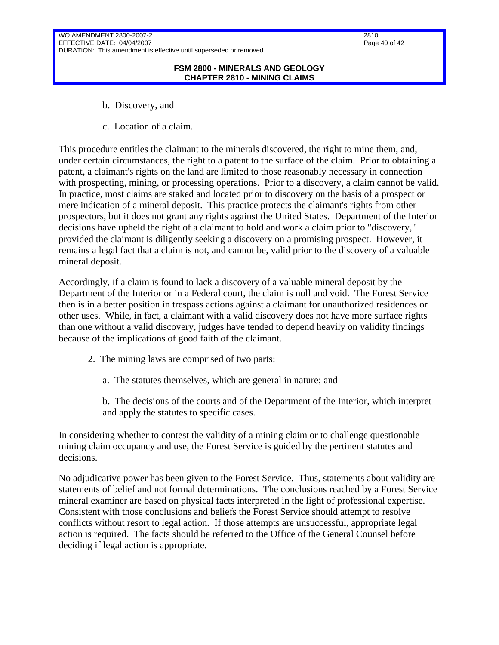#### **FSM 2800 - MINERALS AND GEOLOGY CHAPTER 2810 - MINING CLAIMS**

- b. Discovery, and
- c. Location of a claim.

This procedure entitles the claimant to the minerals discovered, the right to mine them, and, under certain circumstances, the right to a patent to the surface of the claim. Prior to obtaining a patent, a claimant's rights on the land are limited to those reasonably necessary in connection with prospecting, mining, or processing operations. Prior to a discovery, a claim cannot be valid. In practice, most claims are staked and located prior to discovery on the basis of a prospect or mere indication of a mineral deposit. This practice protects the claimant's rights from other prospectors, but it does not grant any rights against the United States. Department of the Interior decisions have upheld the right of a claimant to hold and work a claim prior to "discovery," provided the claimant is diligently seeking a discovery on a promising prospect. However, it remains a legal fact that a claim is not, and cannot be, valid prior to the discovery of a valuable mineral deposit.

Accordingly, if a claim is found to lack a discovery of a valuable mineral deposit by the Department of the Interior or in a Federal court, the claim is null and void. The Forest Service then is in a better position in trespass actions against a claimant for unauthorized residences or other uses. While, in fact, a claimant with a valid discovery does not have more surface rights than one without a valid discovery, judges have tended to depend heavily on validity findings because of the implications of good faith of the claimant.

- 2. The mining laws are comprised of two parts:
	- a. The statutes themselves, which are general in nature; and
	- b. The decisions of the courts and of the Department of the Interior, which interpret and apply the statutes to specific cases.

In considering whether to contest the validity of a mining claim or to challenge questionable mining claim occupancy and use, the Forest Service is guided by the pertinent statutes and decisions.

No adjudicative power has been given to the Forest Service. Thus, statements about validity are statements of belief and not formal determinations. The conclusions reached by a Forest Service mineral examiner are based on physical facts interpreted in the light of professional expertise. Consistent with those conclusions and beliefs the Forest Service should attempt to resolve conflicts without resort to legal action. If those attempts are unsuccessful, appropriate legal action is required. The facts should be referred to the Office of the General Counsel before deciding if legal action is appropriate.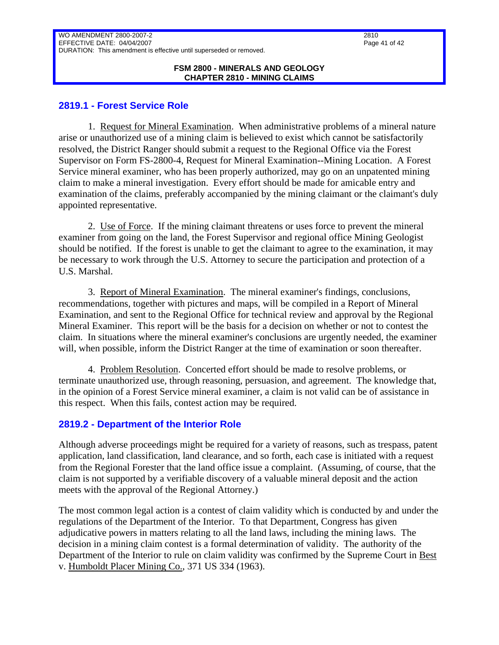#### **FSM 2800 - MINERALS AND GEOLOGY CHAPTER 2810 - MINING CLAIMS**

### <span id="page-40-0"></span>**2819.1 - Forest Service Role**

1. Request for Mineral Examination. When administrative problems of a mineral nature arise or unauthorized use of a mining claim is believed to exist which cannot be satisfactorily resolved, the District Ranger should submit a request to the Regional Office via the Forest Supervisor on Form FS-2800-4, Request for Mineral Examination--Mining Location. A Forest Service mineral examiner, who has been properly authorized, may go on an unpatented mining claim to make a mineral investigation. Every effort should be made for amicable entry and examination of the claims, preferably accompanied by the mining claimant or the claimant's duly appointed representative.

2. Use of Force. If the mining claimant threatens or uses force to prevent the mineral examiner from going on the land, the Forest Supervisor and regional office Mining Geologist should be notified. If the forest is unable to get the claimant to agree to the examination, it may be necessary to work through the U.S. Attorney to secure the participation and protection of a U.S. Marshal.

3. Report of Mineral Examination. The mineral examiner's findings, conclusions, recommendations, together with pictures and maps, will be compiled in a Report of Mineral Examination, and sent to the Regional Office for technical review and approval by the Regional Mineral Examiner. This report will be the basis for a decision on whether or not to contest the claim. In situations where the mineral examiner's conclusions are urgently needed, the examiner will, when possible, inform the District Ranger at the time of examination or soon thereafter.

4. Problem Resolution. Concerted effort should be made to resolve problems, or terminate unauthorized use, through reasoning, persuasion, and agreement. The knowledge that, in the opinion of a Forest Service mineral examiner, a claim is not valid can be of assistance in this respect. When this fails, contest action may be required.

### <span id="page-40-1"></span>**2819.2 - Department of the Interior Role**

Although adverse proceedings might be required for a variety of reasons, such as trespass, patent application, land classification, land clearance, and so forth, each case is initiated with a request from the Regional Forester that the land office issue a complaint. (Assuming, of course, that the claim is not supported by a verifiable discovery of a valuable mineral deposit and the action meets with the approval of the Regional Attorney.)

The most common legal action is a contest of claim validity which is conducted by and under the regulations of the Department of the Interior. To that Department, Congress has given adjudicative powers in matters relating to all the land laws, including the mining laws. The decision in a mining claim contest is a formal determination of validity. The authority of the Department of the Interior to rule on claim validity was confirmed by the Supreme Court in Best v. Humboldt Placer Mining Co., 371 US 334 (1963).